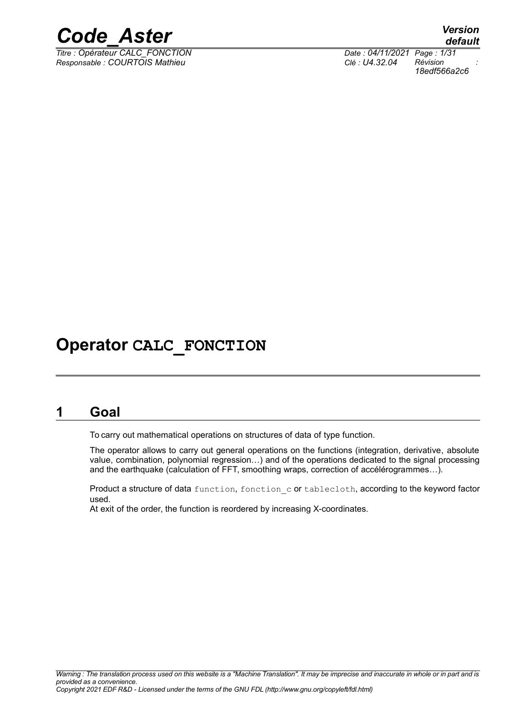

*Titre : Opérateur CALC\_FONCTION Date : 04/11/2021 Page : 1/31 Responsable : COURTOIS Mathieu Clé : U4.32.04 Révision :*

*default*

# *18edf566a2c6*

### **Operator CALC\_FONCTION**

### **1 Goal**

<span id="page-0-0"></span>To carry out mathematical operations on structures of data of type function.

The operator allows to carry out general operations on the functions (integration, derivative, absolute value, combination, polynomial regression…) and of the operations dedicated to the signal processing and the earthquake (calculation of FFT, smoothing wraps, correction of accélérogrammes…).

Product a structure of data function, fonction c or tablecloth, according to the keyword factor used.

At exit of the order, the function is reordered by increasing X-coordinates.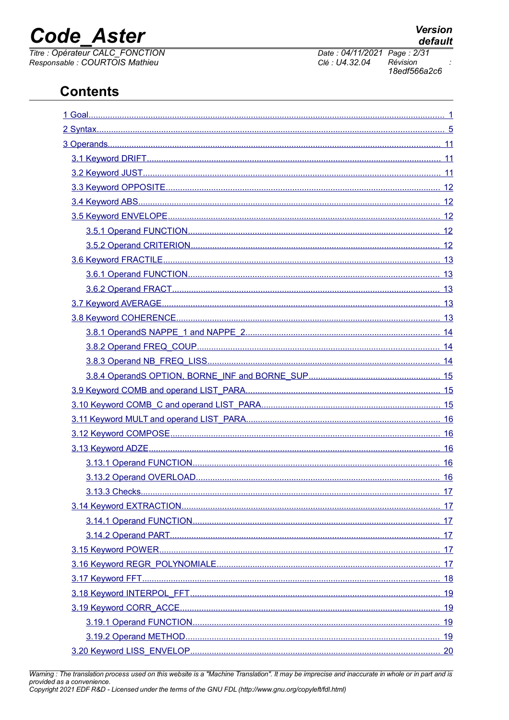## **Code Aster**

Titre : Opérateur CALC\_FONCTION<br>Responsable : COURTOIS Mathieu

Date: 04/11/2021 Page: 2/31 Clé : U4.32.04 Révision 18edf566a2c6

| 17 |
|----|
|    |
|    |
|    |
|    |
|    |
|    |
|    |
|    |
|    |
|    |
|    |

Warning : The translation process used on this website is a "Machine Translation". It may be imprecise and inaccurate in whole or in part and is provided as a convenience.<br>Copyright 2021 EDF R&D - Licensed under the terms of the GNU FDL (http://www.gnu.org/copyleft/fdl.html)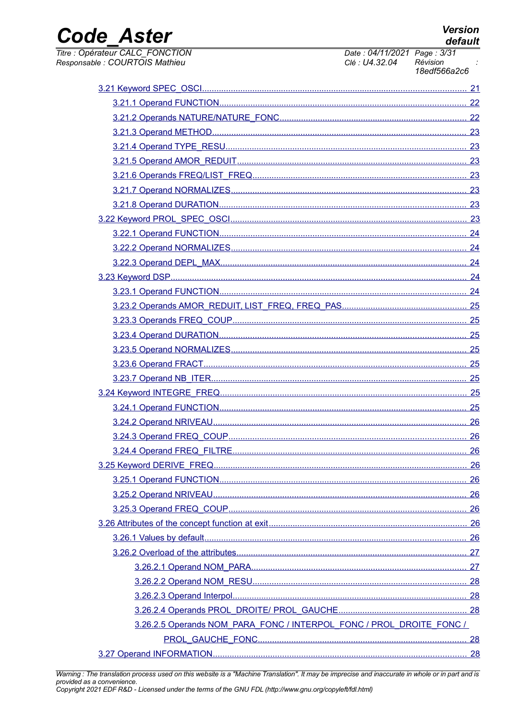**Version** default

### **Code Aster**

Titre : Opérateur CALC\_FONCTION<br>Responsable : COURTOIS Mathieu

Date: 04/11/2021 Page: 3/31 Clé : U4.32.04 Révision 18edf566a2c6

|                                                                      | 21 |
|----------------------------------------------------------------------|----|
|                                                                      |    |
|                                                                      |    |
|                                                                      | 23 |
|                                                                      |    |
|                                                                      | 23 |
|                                                                      |    |
|                                                                      |    |
|                                                                      |    |
|                                                                      |    |
|                                                                      |    |
|                                                                      | 24 |
|                                                                      |    |
|                                                                      |    |
|                                                                      |    |
|                                                                      |    |
|                                                                      |    |
|                                                                      |    |
|                                                                      |    |
|                                                                      |    |
|                                                                      |    |
|                                                                      |    |
|                                                                      |    |
|                                                                      |    |
|                                                                      | 26 |
|                                                                      |    |
|                                                                      |    |
|                                                                      |    |
|                                                                      |    |
|                                                                      |    |
|                                                                      |    |
|                                                                      |    |
|                                                                      |    |
|                                                                      |    |
|                                                                      |    |
|                                                                      |    |
|                                                                      |    |
| 3.26.2.5 Operands NOM PARA FONC / INTERPOL FONC / PROL DROITE FONC / |    |
|                                                                      |    |
|                                                                      |    |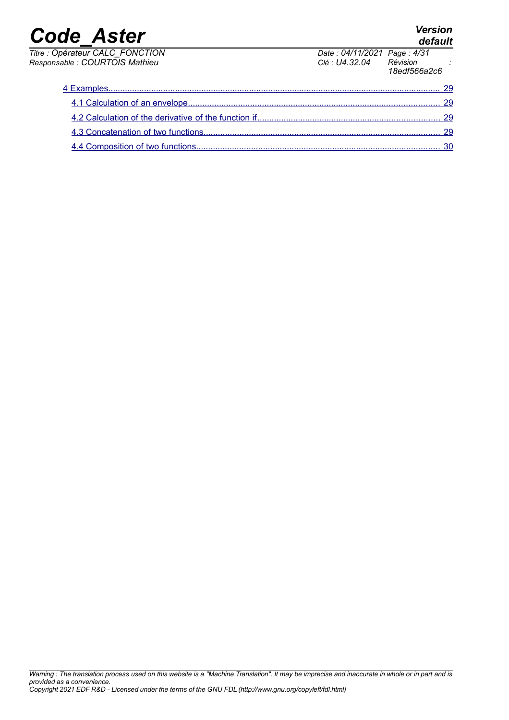| <b>Code Aster</b>                                                 |                                                          | <b>Version</b><br>default |
|-------------------------------------------------------------------|----------------------------------------------------------|---------------------------|
| Titre : Opérateur CALC_FONCTION<br>Responsable : COURTOIS Mathieu | Date: 04/11/2021 Page: 4/31<br>Clé : U4.32.04 Révision : | 18edf566a2c6              |
|                                                                   |                                                          | 29                        |
|                                                                   |                                                          | 29                        |
|                                                                   |                                                          | - 29                      |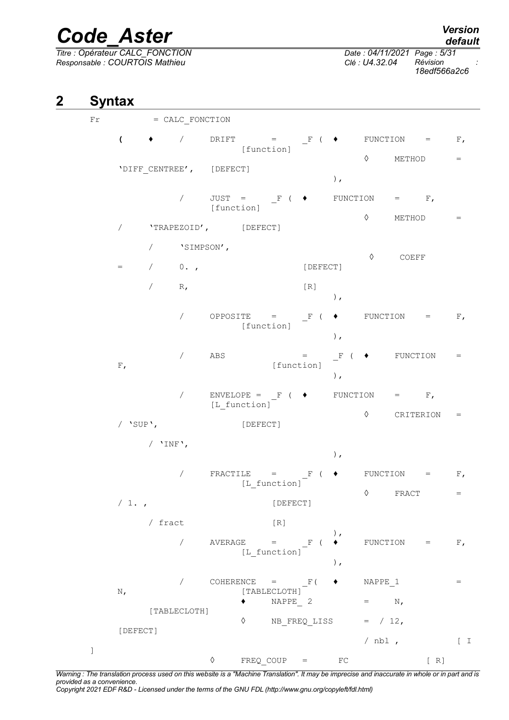*Titre : Opérateur CALC\_FONCTION Date : 04/11/2021 Page : 5/31 Responsable : COURTOIS Mathieu Clé : U4.32.04 Révision :*

*18edf566a2c6*

#### **2 Syntax**

<span id="page-4-0"></span>Fr = CALC FONCTION  $($   $\rightarrow$   $/$  DRIFT = F (  $\rightarrow$  FUNCTION = F, [function]  $\Diamond$  METHOD = 'DIFF\_CENTREE', [DEFECT] ),  $\sqrt{ }$  JUST = F (  $\blacklozenge$  FUNCTION = F, [function]  $\Diamond$  METHOD = / 'TRAPEZOID', [DEFECT] / 'SIMPSON', ◊ COEFF = / 0. , [DEFECT]  $/$  R,  $[R]$ ),  $\sqrt{ }$  OPPOSITE = F (  $\blacklozenge$  FUNCTION = F, [function] ),  $\angle$  ABS =  $\Gamma$  (  $\blacklozenge$  FUNCTION = F, [function] ),  $\angle$  ENVELOPE = F (  $\blacklozenge$  FUNCTION = F, [L function] ◊ CRITERION = / 'SUP', [DEFECT] / 'INF', ), / FRACTILE =  $F$  (  $\blacklozenge$  FUNCTION =  $F$ , [L function]  $\Diamond$  FRACT  $=$ / 1. , [DEFECT] / fract [R] ),  $\overline{P}$  / AVERAGE =  $\overline{F}$  (  $\overline{P}$  FUNCTION = F, [L\_function] ),  $\sqrt{C}$  COHERENCE =  $\frac{F}{C}$  + NAPPE 1 = N,  $[TABLECLOTH]$  $\bullet$  NAPPE 2 = N, [TABLECLOTH]  $\Diamond$  NB FREQ LISS = / 12, [DEFECT]  $\sqrt{10}$  ,  $\sqrt{10}$  ,  $\sqrt{10}$ ]  $\Diamond$  FREQ COUP = FC [ R]

*Warning : The translation process used on this website is a "Machine Translation". It may be imprecise and inaccurate in whole or in part and is provided as a convenience.*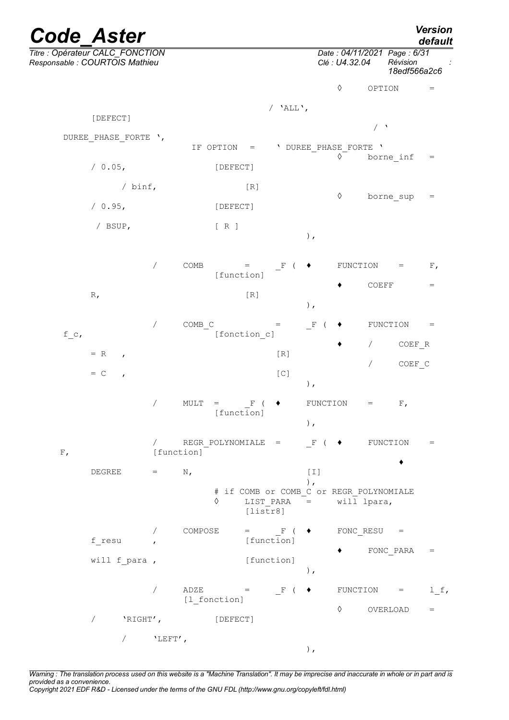|         | <b>Code Aster</b>                                                 |            |         |                                                                   |                                   |                                |                            |                                                                      |                                                          |                                   | <b>Version</b><br>default           |
|---------|-------------------------------------------------------------------|------------|---------|-------------------------------------------------------------------|-----------------------------------|--------------------------------|----------------------------|----------------------------------------------------------------------|----------------------------------------------------------|-----------------------------------|-------------------------------------|
|         | Titre : Opérateur CALC_FONCTION<br>Responsable : COURTOIS Mathieu |            |         |                                                                   |                                   |                                |                            | Date: 04/11/2021 Page: 6/31<br>Clé : U4.32.04                        |                                                          | Révision<br>18edf566a2c6          |                                     |
|         |                                                                   |            |         |                                                                   |                                   |                                |                            | $\Diamond$                                                           | OPTION                                                   |                                   | $=$                                 |
|         | [DEFECT]                                                          |            |         |                                                                   |                                   | / 'ALL',                       |                            |                                                                      |                                                          |                                   |                                     |
|         | DUREE PHASE FORTE ',                                              |            |         |                                                                   |                                   |                                |                            |                                                                      | $\left( \begin{array}{c} \lambda \\ \end{array} \right)$ |                                   |                                     |
|         |                                                                   |            |         | IF OPTION                                                         | $\hspace{1.6cm} = \hspace{1.6cm}$ |                                |                            | ' DUREE PHASE FORTE '<br>$\Diamond$                                  |                                                          | borne inf                         | $\hspace*{0.4em} = \hspace*{0.4em}$ |
|         | / 0.05,                                                           |            |         | [DEFECT]                                                          |                                   |                                |                            |                                                                      |                                                          |                                   |                                     |
|         | / $binf$ ,                                                        |            |         |                                                                   | [R]                               |                                |                            | $\Diamond$                                                           |                                                          | borne sup                         | $=$                                 |
|         | / 0.95,                                                           |            |         | [DEFECT]                                                          |                                   |                                |                            |                                                                      |                                                          |                                   |                                     |
|         | / BSUP,                                                           |            |         | $[ R ]$                                                           |                                   |                                | $\,$ ,                     |                                                                      |                                                          |                                   |                                     |
|         |                                                                   | $\sqrt{2}$ | COMB    | [function]                                                        | $=$                               | $\mathbb F$                    |                            | FUNCTION                                                             |                                                          | $\hspace{1.6cm} = \hspace{1.6cm}$ | $F$ ,                               |
|         | R,                                                                |            |         |                                                                   | $[R]1$                            |                                | ),                         |                                                                      | COEFF                                                    |                                   | $=$                                 |
|         |                                                                   | $\sqrt{2}$ | COMB C  |                                                                   |                                   | $=$                            | $\mathbf{F}$<br>$\sqrt{2}$ |                                                                      |                                                          | FUNCTION                          | $=$                                 |
| $f_c$ , |                                                                   |            |         |                                                                   | [fonction c]                      |                                |                            |                                                                      | $\sqrt{2}$                                               | COEF R                            |                                     |
|         | $= R$<br>$\mathbf{r}$                                             |            |         |                                                                   |                                   | [R]                            |                            |                                                                      | $\sqrt{2}$                                               | COEF C                            |                                     |
|         | $= C$<br>$\mathbf{r}$                                             |            |         |                                                                   |                                   | $[{\mathbb C}]$                | ),                         |                                                                      |                                                          |                                   |                                     |
|         |                                                                   | $\sqrt{2}$ | MULT    | $\hspace{1.6cm} = \hspace{1.6cm}$<br>[function]                   | $\mathbf{F}$<br>$\sqrt{2}$        |                                | $\,$ ,                     | FUNCTION                                                             | $=$                                                      | $F$ ,                             |                                     |
| $F$ ,   |                                                                   | [function] |         |                                                                   |                                   |                                |                            | / REGR POLYNOMIALE = $F$ ( $\blacklozenge$ FUNCTION                  |                                                          |                                   | $\hspace{1.6cm} = \hspace{1.6cm}$   |
|         | DEGREE                                                            | $=$ $-$    | $N$ ,   |                                                                   |                                   |                                | $[1]$                      |                                                                      |                                                          |                                   |                                     |
|         |                                                                   |            |         | ♦                                                                 | [liststr8]                        |                                | $)$ ,                      | # if COMB or COMB C or REGR POLYNOMIALE<br>LIST PARA $=$ will lpara, |                                                          |                                   |                                     |
|         |                                                                   | $\sqrt{2}$ | COMPOSE |                                                                   |                                   | $=$ F ( $\blacklozenge$        |                            |                                                                      | FONC RESU $=$                                            |                                   |                                     |
|         | f resu                                                            |            |         |                                                                   | [function]                        |                                |                            |                                                                      |                                                          | FONC PARA                         | $\hspace{1.0cm} = \hspace{1.0cm}$   |
|         | will f para,                                                      |            |         |                                                                   | [function]                        |                                | $\,$ ,                     |                                                                      |                                                          |                                   |                                     |
|         |                                                                   | $\sqrt{2}$ |         | $\begin{array}{ccc} \text{ADZE} & \hspace{1.5cm} = & \end{array}$ |                                   | $\mathbb{F}$ ( $\blacklozenge$ |                            |                                                                      |                                                          | FUNCTION =                        | $l_f$                               |
|         |                                                                   |            |         | [1 fonction]                                                      |                                   |                                |                            | ♦                                                                    |                                                          | OVERLOAD                          | $=$                                 |
|         | $\overline{ }$                                                    | 'RIGHT',   |         | [DEFECT]                                                          |                                   |                                |                            |                                                                      |                                                          |                                   |                                     |
|         | $\sqrt{2}$                                                        | $'$ LEFT', |         |                                                                   |                                   |                                | $\,$ ,                     |                                                                      |                                                          |                                   |                                     |

*Warning : The translation process used on this website is a "Machine Translation". It may be imprecise and inaccurate in whole or in part and is provided as a convenience. Copyright 2021 EDF R&D - Licensed under the terms of the GNU FDL (http://www.gnu.org/copyleft/fdl.html)*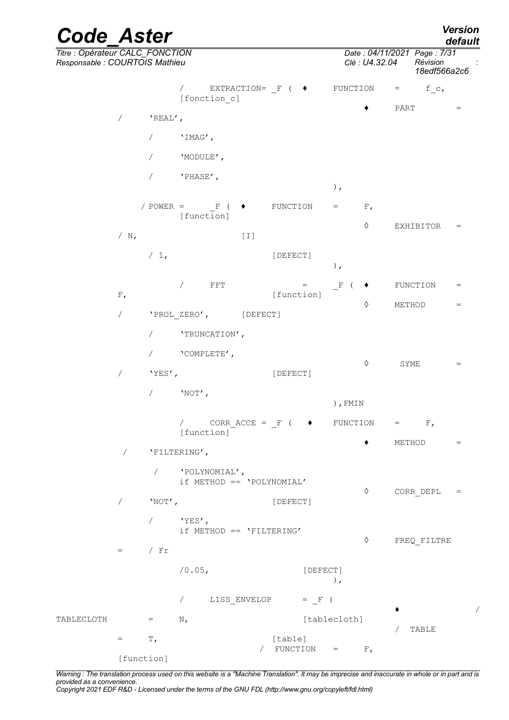*Code\_Aster Version default Titre : Opérateur CALC\_FONCTION Date : 04/11/2021 Page : 7/31 Responsable : COURTOIS Mathieu Clé : U4.32.04 Révision : 18edf566a2c6* / EXTRACTION=  $F$  (  $\bullet$  FUNCTION = f c, [fonction c]  $\bullet$  PART = / 'REAL',  $/$  'IMAG', / 'MODULE', / 'PHASE', ),  $\angle$  POWER =  $\qquad$  F (  $\blacklozenge$  FUNCTION = F, [function] ◊ EXHIBITOR =  $/ N$ ,  $[1]$ / 1, [DEFECT] ),  $/$  FFT  $=$  F (  $\blacklozenge$  FUNCTION  $=$ F, [function]  $\Diamond$  METHOD = / 'PROL\_ZERO', [DEFECT] / 'TRUNCATION', / 'COMPLETE',  $\Diamond$  SYME  $=$ / 'YES', [DEFECT]  $/$  'NOT', ),FMIN / CORRACCE =  $F$  (  $\blacklozenge$  FUNCTION =  $F$ , [function]  $\blacklozenge$  METHOD  $=$ / 'FILTERING', / 'POLYNOMIAL', if METHOD == 'POLYNOMIAL' ◊ CORR\_DEPL = / 'NOT', [DEFECT] / 'YES', if METHOD == 'FILTERING' ◊ FREQ\_FILTRE  $=$  / Fr /0.05, [DEFECT] ), / LISS ENVELOP = F ( ♦ / TABLECLOTH  $=$  N,  $[tablecloth]$ **TABLE**  $=$  T, [table]  $\angle$  FUNCTION = F,

*Warning : The translation process used on this website is a "Machine Translation". It may be imprecise and inaccurate in whole or in part and is provided as a convenience.*

*Copyright 2021 EDF R&D - Licensed under the terms of the GNU FDL (http://www.gnu.org/copyleft/fdl.html)*

[function]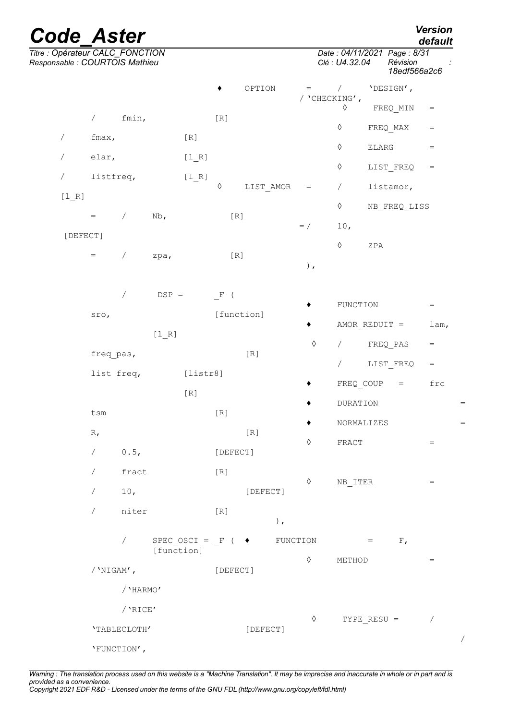| <b>Code Aster</b>                                                 |                       |                          |            |                  |         |            |        |            |                                              |               |                                   | <b>Version</b><br>default           |     |
|-------------------------------------------------------------------|-----------------------|--------------------------|------------|------------------|---------|------------|--------|------------|----------------------------------------------|---------------|-----------------------------------|-------------------------------------|-----|
| Titre : Opérateur CALC_FONCTION<br>Responsable : COURTOIS Mathieu |                       |                          |            |                  |         |            |        |            | Date: 04/11/2021 Page: 8/31<br>Clé: U4.32.04 |               | Révision<br>18edf566a2c6          |                                     |     |
|                                                                   |                       |                          |            |                  | ٠       | OPTION     |        | $=$        | $\sqrt{2}$<br>/ 'CHECKING',                  |               | 'DESIGN',                         |                                     |     |
|                                                                   | $\sqrt{2}$            | fmin,                    |            |                  | [R]     |            |        |            | $\Diamond$                                   |               | FREQ MIN                          | $=$                                 |     |
| $\sqrt{2}$                                                        | fmax,                 |                          |            | $[R]1$           |         |            |        |            | $\Diamond$                                   |               | FREQ MAX                          | $\hspace*{0.4em} = \hspace*{0.4em}$ |     |
|                                                                   | elar,                 |                          |            | $[1_R]$          |         |            |        |            | $\Diamond$                                   | ELARG         |                                   | $\hspace{1.6cm} = \hspace{1.6cm}$   |     |
| $\prime$                                                          | listfreq,             |                          |            | [1 R]            |         |            |        |            | $\Diamond$                                   |               | LIST FREQ                         | $=$                                 |     |
| $[1_R]$                                                           |                       |                          |            |                  | ♦       | LIST AMOR  |        | $=$        | $\sqrt{2}$                                   |               | listamor,                         |                                     |     |
|                                                                   | $\quad =$             | $\sqrt{2}$               | Nb,        |                  |         | $[ R ]$    |        |            | $\Diamond$                                   |               | NB FREQ LISS                      |                                     |     |
| [DEFECT]                                                          |                       |                          |            |                  |         |            |        | $=$ /      | 10,<br>$\Diamond$                            |               |                                   |                                     |     |
|                                                                   | $=$                   | $\sqrt{2}$               | zpa,       |                  |         | $[R]1$     |        | $\,$ ,     |                                              | ZPA           |                                   |                                     |     |
|                                                                   |                       | $\overline{\phantom{a}}$ | $DSP =$    |                  | F (     |            |        | ٠          | FUNCTION                                     |               |                                   | $\hspace{1.6cm} = \hspace{1.6cm}$   |     |
|                                                                   | sro,                  |                          |            |                  |         | [function] |        | ٠          | AMOR REDUIT =                                |               |                                   | $l$ am,                             |     |
|                                                                   |                       |                          | $[1_R]$    |                  |         |            |        | $\Diamond$ | $\sqrt{2}$                                   |               | FREQ PAS                          | $=$                                 |     |
|                                                                   | freq_pas,             |                          |            |                  |         | $[R]1$     |        |            | $\sqrt{2}$                                   |               | LIST FREQ                         | $=$                                 |     |
|                                                                   | list freq,            |                          |            | [liststr8]       |         |            |        |            | FREQ_COUP                                    |               | $\hspace{1.6cm} = \hspace{1.6cm}$ | frc                                 |     |
|                                                                   |                       |                          |            | [R]              |         |            |        | ٠          | <b>DURATION</b>                              |               |                                   |                                     | $=$ |
|                                                                   | tsm                   |                          |            |                  | $[ R ]$ |            |        |            | NORMALIZES                                   |               |                                   |                                     |     |
|                                                                   | $R_{I}$<br>$\sqrt{2}$ | 0.5,                     |            |                  |         | $[R]1$     |        | ♦          | FRACT                                        |               |                                   | $=$                                 |     |
|                                                                   |                       |                          |            |                  |         | [DEFECT]   |        |            |                                              |               |                                   |                                     |     |
|                                                                   | $\sqrt{2}$            | fract                    |            |                  | [R]     |            |        | $\Diamond$ | NB ITER                                      |               |                                   | $\hspace{1.6cm} = \hspace{1.6cm}$   |     |
|                                                                   | $\sqrt{2}$            | 10,<br>niter             |            |                  |         | [DEFECT]   |        |            |                                              |               |                                   |                                     |     |
|                                                                   |                       |                          |            |                  | $[ R ]$ |            | $\,$ , |            |                                              |               |                                   |                                     |     |
|                                                                   |                       | $\sqrt{2}$               | [function] | SPEC OSCI = $F($ |         | $\bullet$  |        | FUNCTION   |                                              | $=$           | $F$ ,                             |                                     |     |
|                                                                   | / $'$ NIGAM',         |                          |            |                  |         | [DEFECT]   |        | ♦          | METHOD                                       |               |                                   | $=$                                 |     |
|                                                                   |                       | / 'HARMO'                |            |                  |         |            |        |            |                                              |               |                                   |                                     |     |
|                                                                   |                       | /'RICE'                  |            |                  |         |            |        | $\Diamond$ |                                              |               |                                   | Τ                                   |     |
|                                                                   |                       | 'TABLECLOTH'             |            |                  |         | [DEFECT]   |        |            |                                              | TYPE RESU $=$ |                                   |                                     |     |
|                                                                   |                       | 'FUNCTION',              |            |                  |         |            |        |            |                                              |               |                                   |                                     | Τ   |

*Warning : The translation process used on this website is a "Machine Translation". It may be imprecise and inaccurate in whole or in part and is provided as a convenience. Copyright 2021 EDF R&D - Licensed under the terms of the GNU FDL (http://www.gnu.org/copyleft/fdl.html)*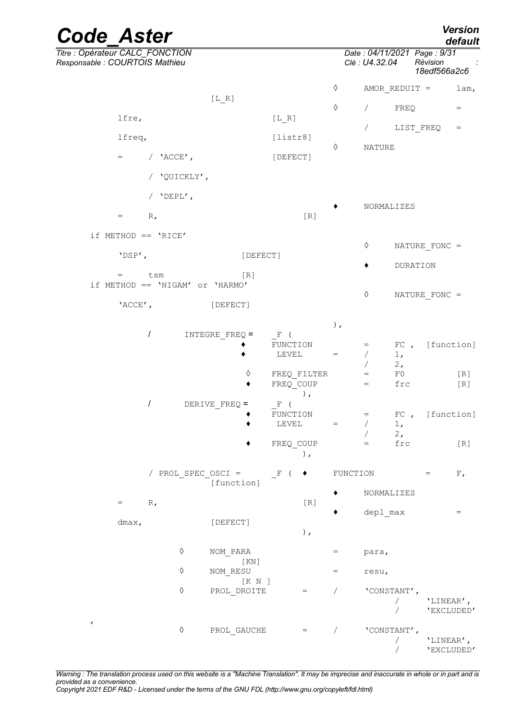| <b>Code Aster</b>                                                   |                                 |            |                                               |                    |                          | Version<br>default                |
|---------------------------------------------------------------------|---------------------------------|------------|-----------------------------------------------|--------------------|--------------------------|-----------------------------------|
| Titre : Opérateur CALC_FONCTION<br>Responsable : COURTOIS Mathieu   |                                 |            | Date: 04/11/2021 Page: 9/31<br>Clé : U4.32.04 |                    | Révision<br>18edf566a2c6 |                                   |
|                                                                     |                                 | ♦          |                                               |                    | AMOR REDUIT =            | lam,                              |
| $[L_R]$                                                             |                                 | $\Diamond$ | $\sqrt{2}$                                    | FREQ               |                          | $=$                               |
| lfre,                                                               | $[L_R]$                         |            | $\sqrt{2}$                                    |                    | LIST FREQ                | $\hspace{1.6cm} = \hspace{1.6cm}$ |
| lfreq,                                                              | [liststr8]                      | $\Diamond$ |                                               |                    |                          |                                   |
| / $'ACCE'$ ,<br>$=$                                                 | [DEFECT]                        |            | <b>NATURE</b>                                 |                    |                          |                                   |
| / 'QUICKLY',                                                        |                                 |            |                                               |                    |                          |                                   |
| / $'DEPL'$ ,                                                        |                                 |            |                                               |                    |                          |                                   |
| R,<br>$=$                                                           | [R]                             |            | NORMALIZES                                    |                    |                          |                                   |
| if METHOD == $'RICE'$                                               |                                 |            |                                               |                    |                          |                                   |
|                                                                     |                                 |            | ♦                                             |                    | NATURE FONC =            |                                   |
| 'DSP',                                                              | [DEFECT]                        |            |                                               |                    | DURATION                 |                                   |
| tsm<br>[R]<br>$=$<br>if METHOD == $'NIGAM'$ or $'HARMO'$            |                                 |            |                                               |                    |                          |                                   |
| 'ACCE',<br>[DEFECT]                                                 |                                 |            | $\Diamond$                                    |                    | NATURE FONC =            |                                   |
|                                                                     |                                 | $)$ ,      |                                               |                    |                          |                                   |
| $\prime$<br>INTEGRE FREQ =                                          | $F$ (                           |            |                                               |                    |                          |                                   |
|                                                                     | FUNCTION<br>LEVEL               | $=$        | $=$<br>$\sqrt{2}$                             | FC,<br>1,          |                          | [function]                        |
|                                                                     |                                 |            |                                               | 2,                 |                          |                                   |
| ♦                                                                   | FREQ FILTER<br>FREQ COUP        |            | $\hspace{1.6cm} = \hspace{1.6cm}$<br>$=$      | $_{\rm F0}$<br>frc |                          | [R]<br>$[ R ]$                    |
|                                                                     | $\,$ ,                          |            |                                               |                    |                          |                                   |
| $\prime$<br>$\begin{aligned} \mathrm{DERIVE\_FREQ} = \end{aligned}$ | $\mathbf F$<br>$\left($         |            |                                               |                    |                          |                                   |
|                                                                     | FUNCTION<br>LEVEL               | $=$        | $=$<br>$\sqrt{2}$                             | FC,<br>1,          |                          | [function]                        |
|                                                                     |                                 |            |                                               | 2,                 |                          |                                   |
|                                                                     | FREQ_COUP<br>),                 |            | $=$                                           | $_{\tt frc}$       |                          | [R]                               |
| / PROL SPEC OSCI =<br>[function]                                    | $\mathbf{F}$<br>٠<br>$\sqrt{2}$ |            | FUNCTION                                      |                    | $=$                      | ${\rm F}$ ,                       |
| R,<br>$=$                                                           | [R]                             |            | NORMALIZES                                    |                    |                          |                                   |
|                                                                     |                                 |            | depl max                                      |                    |                          | $=$                               |
| [DEFECT]<br>dmax,                                                   | ),                              |            |                                               |                    |                          |                                   |
| $\Diamond$<br>NOM PARA                                              | [KN]                            | $=$        | para,                                         |                    |                          |                                   |

*Warning : The translation process used on this website is a "Machine Translation". It may be imprecise and inaccurate in whole or in part and is provided as a convenience.*

 $\Diamond$  NOM RESU = resu,

◊ PROL\_DROITE = / 'CONSTANT',

 $\begin{array}{ccccccc} \Diamond & & & \text{PROL\_GAUCHE} & & = & & \diagup & & \text{'} & & \text{'} & \text{CONSTANT'} \; , \\ & & & & & & & \diagup & & & \diagup & & \text{'} & \text{'} & \text{'} & \text{'} & \text{'} \\ \end{array}$ 

/ 'LINEAR',<br>/ 'EXCLUDED

/ **'LINEAR',**<br>/ **'EXCLUDED** 

/ 'EXCLUDED'

/ 'EXCLUDED'

[K N ]

,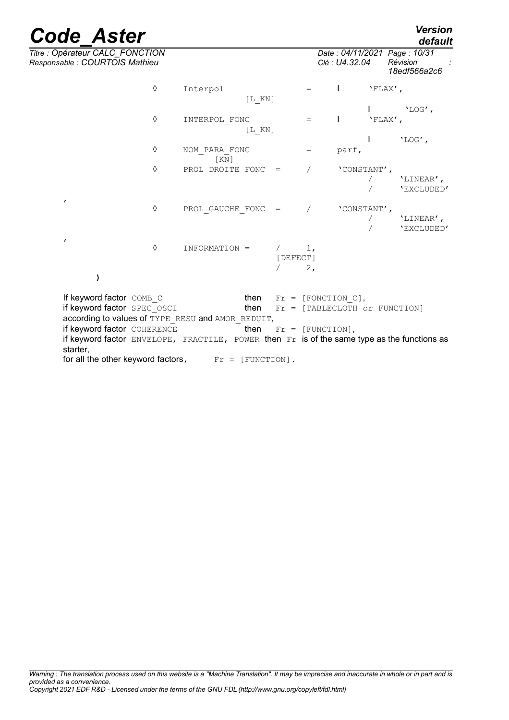*Titre : Opérateur CALC\_FONCTION Date : 04/11/2021 Page : 10/31*

| Responsable : COURTOIS Mathieu                                                                          |   |                     |            |          |                      | Clé : U4.32.04            |              | Révision<br>18edf566a2c6              |
|---------------------------------------------------------------------------------------------------------|---|---------------------|------------|----------|----------------------|---------------------------|--------------|---------------------------------------|
|                                                                                                         | ♦ | Interpol            | $[L$ $KN]$ |          | $=$                  |                           | $'FLAX'$ ,   |                                       |
|                                                                                                         |   |                     |            |          |                      |                           |              | $'LOG'$ ,                             |
|                                                                                                         | ♦ | INTERPOL FONC       | $[L$ KN]   |          | $=$                  |                           | $'FLAX'$ ,   |                                       |
|                                                                                                         |   |                     |            |          |                      |                           | $\mathbf{I}$ | $'LOG'$ ,                             |
|                                                                                                         | ♦ | NOM PARA FONC<br>KN |            |          | $=$                  | parf,                     |              |                                       |
|                                                                                                         | ♦ | PROL DROITE FONC =  |            |          |                      | 'CONSTANT',               |              | 'LINEAR',<br>'EXCLUDED'               |
| $\pmb{r}$                                                                                               | ♦ | PROL GAUCHE FONC =  |            |          |                      | 'CONSTANT',               |              | 'LINEAR',<br>'EXCLUDED'               |
| $\pmb{r}$                                                                                               | ♦ | INFORMATION =       |            | [DEFECT] | 1 <sub>1</sub><br>2, |                           |              |                                       |
|                                                                                                         |   |                     |            |          |                      |                           |              |                                       |
| If keyword factor COMB C                                                                                |   |                     |            |          |                      | then $Fr = [FONCTION C],$ |              |                                       |
| if keyword factor SPEC OSCI                                                                             |   |                     | then       |          |                      |                           |              | $Fr = [TABLECLOTH \; or \; FUNCTION]$ |
| according to values of TYPE RESU and AMOR REDUIT,                                                       |   |                     |            |          |                      |                           |              |                                       |
| if keyword factor COHERENCE                                                                             |   |                     | then       |          | $Fr = [FUNCTION],$   |                           |              |                                       |
| if keyword factor ENVELOPE, FRACTILE, POWER then Fr is of the same type as the functions as<br>starter, |   |                     |            |          |                      |                           |              |                                       |
| for all the other keyword factors, $Fr = [FWCTION]$ .                                                   |   |                     |            |          |                      |                           |              |                                       |

*default*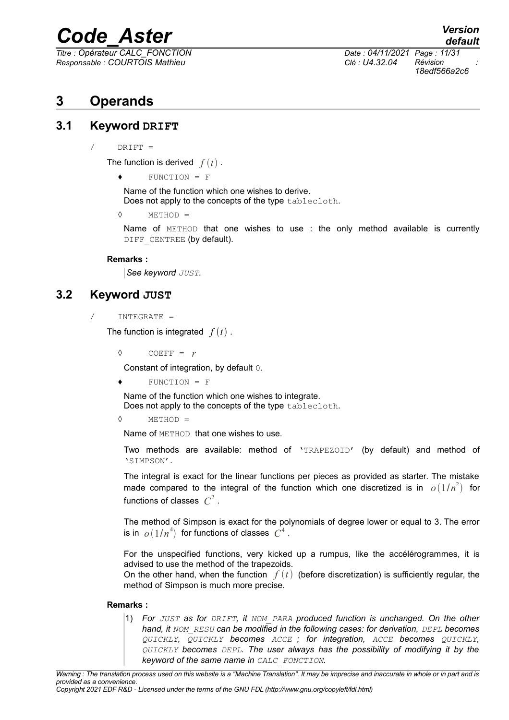*Responsable : COURTOIS Mathieu Clé : U4.32.04 Révision :*

*default Titre : Opérateur CALC\_FONCTION Date : 04/11/2021 Page : 11/31 18edf566a2c6*

### <span id="page-10-2"></span>**3 Operands**

#### **3.1 Keyword DRIFT**

<span id="page-10-1"></span> $/$  DRIFT =

The function is derived  $f(t)$ .

♦ FUNCTION = F

Name of the function which one wishes to derive. Does not apply to the concepts of the type tablecloth.

 $\Diamond$  METHOD =

Name of METHOD that one wishes to use : the only method available is currently DIFF CENTREE (by default).

#### **Remarks :**

*See keyword JUST.*

#### **3.2 Keyword JUST**

<span id="page-10-0"></span>/ INTEGRATE =

The function is integrated  $f(t)$ .

 $\Diamond$  COEFF =  $r$ 

Constant of integration, by default 0.

 $FUNCTION = F$ 

Name of the function which one wishes to integrate. Does not apply to the concepts of the type tablecloth.

 $\Diamond$  METHOD =

Name of METHOD that one wishes to use.

Two methods are available: method of 'TRAPEZOID' (by default) and method of 'SIMPSON'.

The integral is exact for the linear functions per pieces as provided as starter. The mistake made compared to the integral of the function which one discretized is in  $o(1/n^2)$  for functions of classes  $C^2$ .

The method of Simpson is exact for the polynomials of degree lower or equal to 3. The error is in  $|o\left(1/n^4\right)|$  for functions of classes  $|C^4|$ .

For the unspecified functions, very kicked up a rumpus, like the accélérogrammes, it is advised to use the method of the trapezoids.

On the other hand, when the function  $f(t)$  (before discretization) is sufficiently regular, the method of Simpson is much more precise.

#### **Remarks :**

1) *For JUST as for DRIFT, it NOM\_PARA produced function is unchanged. On the other hand, it NOM\_RESU can be modified in the following cases: for derivation, DEPL becomes QUICKLY, QUICKLY becomes ACCE ; for integration, ACCE becomes QUICKLY, QUICKLY becomes DEPL. The user always has the possibility of modifying it by the keyword of the same name in CALC\_FONCTION.*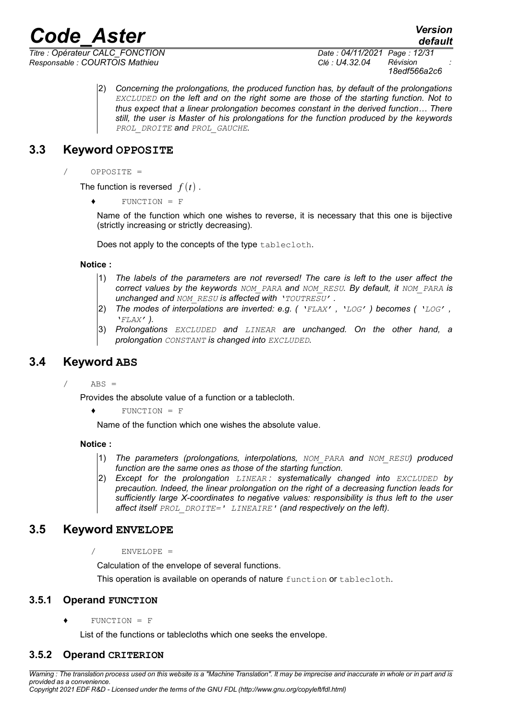*Titre : Opérateur CALC\_FONCTION Date : 04/11/2021 Page : 12/31 Responsable : COURTOIS Mathieu Clé : U4.32.04 Révision :*

*18edf566a2c6*

*default*

2) *Concerning the prolongations, the produced function has, by default of the prolongations EXCLUDED on the left and on the right some are those of the starting function. Not to thus expect that a linear prolongation becomes constant in the derived function… There still, the user is Master of his prolongations for the function produced by the keywords PROL\_DROITE and PROL\_GAUCHE.*

#### **3.3 Keyword OPPOSITE**

<span id="page-11-4"></span>/ OPPOSITE =

The function is reversed  $f(t)$ .

♦ FUNCTION = F

Name of the function which one wishes to reverse, it is necessary that this one is bijective (strictly increasing or strictly decreasing).

Does not apply to the concepts of the type tablecloth.

#### **Notice :**

- 1) *The labels of the parameters are not reversed! The care is left to the user affect the correct values by the keywords NOM\_PARA and NOM\_RESU. By default, it NOM\_PARA is unchanged and NOM\_RESU is affected with 'TOUTRESU' .*
- 2) *The modes of interpolations are inverted: e.g. ( 'FLAX' , 'LOG' ) becomes ( 'LOG' , 'FLAX' ).*
- 3) *Prolongations EXCLUDED and LINEAR are unchanged. On the other hand, a prolongation CONSTANT is changed into EXCLUDED.*

#### **3.4 Keyword ABS**

<span id="page-11-3"></span> $ABS =$ 

Provides the absolute value of a function or a tablecloth.

 $\bullet$  FUNCTION = F

Name of the function which one wishes the absolute value.

**Notice :**

- 1) *The parameters (prolongations, interpolations, NOM\_PARA and NOM\_RESU) produced function are the same ones as those of the starting function.*
- 2) *Except for the prolongation LINEAR : systematically changed into EXCLUDED by precaution. Indeed, the linear prolongation on the right of a decreasing function leads for sufficiently large X-coordinates to negative values: responsibility is thus left to the user affect itself PROL\_DROITE=' LINEAIRE' (and respectively on the left).*

#### <span id="page-11-2"></span>**3.5 Keyword ENVELOPE**

 $/$  ENVELOPE =

Calculation of the envelope of several functions.

This operation is available on operands of nature function or tablecloth.

#### **3.5.1 Operand FUNCTION**

<span id="page-11-1"></span> $\bullet$  FINCTION = F

<span id="page-11-0"></span>List of the functions or tablecloths which one seeks the envelope.

#### **3.5.2 Operand CRITERION**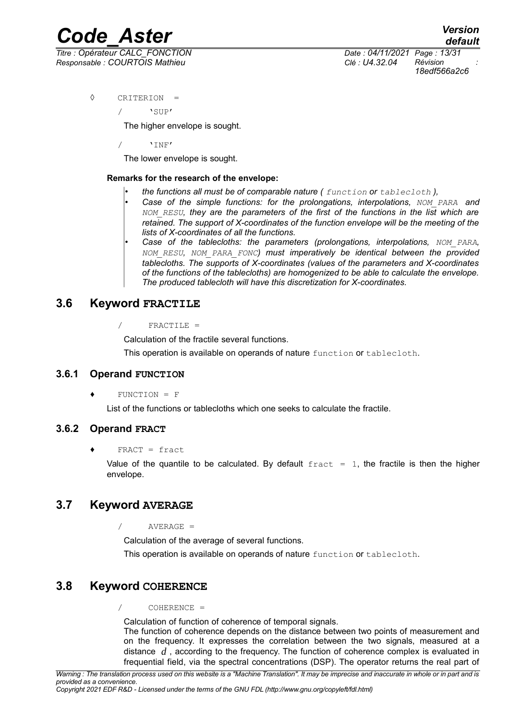*Titre : Opérateur CALC\_FONCTION Date : 04/11/2021 Page : 13/31 Responsable : COURTOIS Mathieu Clé : U4.32.04 Révision :*

*18edf566a2c6*

◊ CRITERION =

 $\sqrt{ }$ 

The higher envelope is sought.

/ 'INF'

The lower envelope is sought.

#### **Remarks for the research of the envelope:**

- *the functions all must be of comparable nature ( function or tablecloth ),*
- *Case of the simple functions: for the prolongations, interpolations, NOM\_PARA and NOM\_RESU, they are the parameters of the first of the functions in the list which are retained. The support of X-coordinates of the function envelope will be the meeting of the lists of X-coordinates of all the functions.*
- *Case of the tablecloths: the parameters (prolongations, interpolations, NOM\_PARA, NOM\_RESU, NOM\_PARA\_FONC) must imperatively be identical between the provided tablecloths. The supports of X-coordinates (values of the parameters and X-coordinates of the functions of the tablecloths) are homogenized to be able to calculate the envelope. The produced tablecloth will have this discretization for X-coordinates.*

#### <span id="page-12-4"></span>**3.6 Keyword FRACTILE**

/ FRACTILE =

Calculation of the fractile several functions.

This operation is available on operands of nature function or tablecloth.

#### **3.6.1 Operand FUNCTION**

<span id="page-12-3"></span> $FUNCTION = F$ 

List of the functions or tablecloths which one seeks to calculate the fractile.

#### **3.6.2 Operand FRACT**

<span id="page-12-2"></span>♦ FRACT = fract

Value of the quantile to be calculated. By default  $f$ ract = 1, the fractile is then the higher envelope.

#### <span id="page-12-1"></span>**3.7 Keyword AVERAGE**

/ AVERAGE =

Calculation of the average of several functions.

This operation is available on operands of nature function or tablecloth.

#### <span id="page-12-0"></span>**3.8 Keyword COHERENCE**

/ COHERENCE =

Calculation of function of coherence of temporal signals.

The function of coherence depends on the distance between two points of measurement and on the frequency. It expresses the correlation between the two signals, measured at a distance *d* , according to the frequency. The function of coherence complex is evaluated in frequential field, via the spectral concentrations (DSP). The operator returns the real part of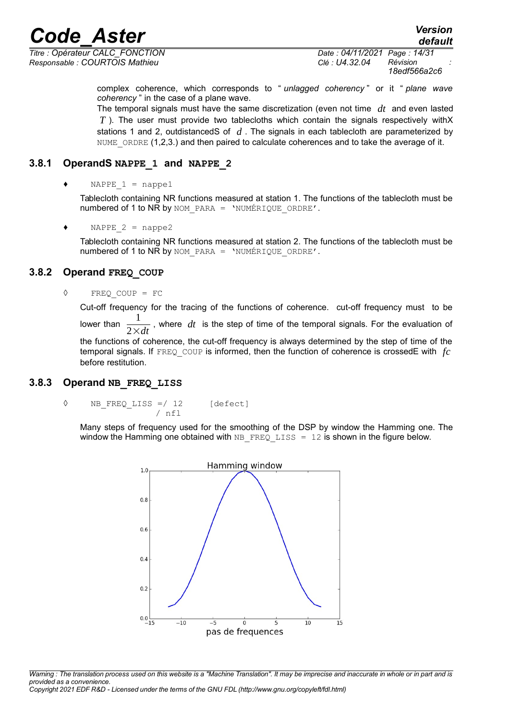*Titre : Opérateur CALC\_FONCTION Date : 04/11/2021 Page : 14/31 Responsable : COURTOIS Mathieu Clé : U4.32.04 Révision :*

*18edf566a2c6*

complex coherence, which corresponds to " *unlagged coherency* " or it " *plane wave coherency* " in the case of a plane wave.

The temporal signals must have the same discretization (even not time *dt* and even lasted *T* ). The user must provide two tablecloths which contain the signals respectively withX stations 1 and 2, outdistancedS of *d* . The signals in each tablecloth are parameterized by NUME ORDRE (1,2,3.) and then paired to calculate coherences and to take the average of it.

#### **3.8.1 OperandS NAPPE\_1 and NAPPE\_2**

<span id="page-13-2"></span>NAPPE  $1 =$  nappel

Tablecloth containing NR functions measured at station 1. The functions of the tablecloth must be numbered of 1 to NR by NOM PARA = 'NUMÉRIQUE ORDRE'.

NAPPE  $2 =$  nappe2

Tablecloth containing NR functions measured at station 2. The functions of the tablecloth must be numbered of 1 to NR by NOM PARA = 'NUMÉRIQUE ORDRE'.

#### **3.8.2 Operand FREQ\_COUP**

#### <span id="page-13-1"></span>◊ FREQ\_COUP = FC

Cut-off frequency for the tracing of the functions of coherence. cut-off frequency must to be lower than  $\frac{1}{2 \times dt}$ 1 , where *dt* is the step of time of the temporal signals. For the evaluation of the functions of coherence, the cut-off frequency is always determined by the step of time of the temporal signals. If FREQ\_COUP is informed, then the function of coherence is crossedE with *fc* before restitution.

#### **3.8.3 Operand NB\_FREQ\_LISS**

<span id="page-13-0"></span>◊ NB\_FREQ\_LISS =/ 12 [defect]  $/$  nfl

Many steps of frequency used for the smoothing of the DSP by window the Hamming one. The window the Hamming one obtained with NB FREQ LISS = 12 is shown in the figure below.

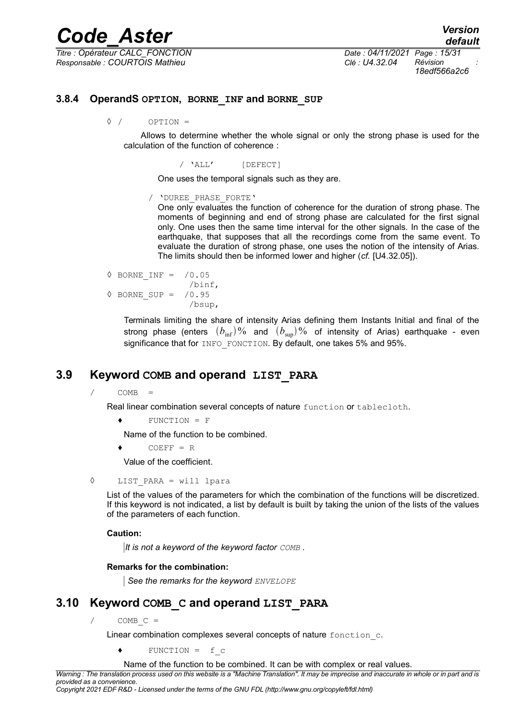*Titre : Opérateur CALC\_FONCTION Date : 04/11/2021 Page : 15/31 Responsable : COURTOIS Mathieu Clé : U4.32.04 Révision :*

*18edf566a2c6*

#### **3.8.4 OperandS OPTION, BORNE\_INF and BORNE\_SUP**

<span id="page-14-2"></span>◊ / OPTION =

Allows to determine whether the whole signal or only the strong phase is used for the calculation of the function of coherence :

/ 'ALL' [DEFECT]

One uses the temporal signals such as they are.

/ 'DUREE\_PHASE\_FORTE'

One only evaluates the function of coherence for the duration of strong phase. The moments of beginning and end of strong phase are calculated for the first signal only. One uses then the same time interval for the other signals. In the case of the earthquake, that supposes that all the recordings come from the same event. To evaluate the duration of strong phase, one uses the notion of the intensity of Arias. The limits should then be informed lower and higher (*cf.* [U4.32.05]).

```
◊ BORNE_INF = /0.05
                 /binf,
◊ BORNE_SUP = /0.95
                 /bsup,
```
Terminals limiting the share of intensity Arias defining them Instants Initial and final of the strong phase (enters  $(b_{\text{inf}})$ % and  $(b_{\text{sup}})$ % of intensity of Arias) earthquake - even significance that for INFO FONCTION. By default, one takes 5% and 95%.

#### **3.9 Keyword COMB and operand LIST\_PARA**

<span id="page-14-1"></span> $\angle$  COMB =

Real linear combination several concepts of nature function or tablecloth.

♦ FUNCTION = F

Name of the function to be combined.

 $CONF = R$ 

- Value of the coefficient.
- ◊ LIST\_PARA = will lpara

List of the values of the parameters for which the combination of the functions will be discretized. If this keyword is not indicated, a list by default is built by taking the union of the lists of the values of the parameters of each function.

#### **Caution:**

*It is not a keyword of the keyword factor COMB .*

#### **Remarks for the combination:**

*See the remarks for the keyword ENVELOPE*

#### **3.10 Keyword COMB\_C and operand LIST\_PARA**

<span id="page-14-0"></span> $/$  COMB C =

Linear combination complexes several concepts of nature fonction c.

♦ FUNCTION = f\_c

Name of the function to be combined. It can be with complex or real values.

*Warning : The translation process used on this website is a "Machine Translation". It may be imprecise and inaccurate in whole or in part and is provided as a convenience.*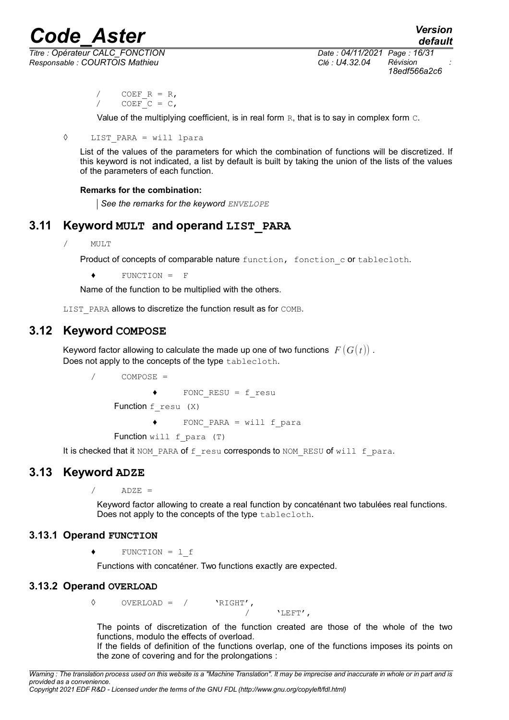*Responsable : COURTOIS Mathieu Clé : U4.32.04 Révision :*

*Titre : Opérateur CALC\_FONCTION Date : 04/11/2021 Page : 16/31 18edf566a2c6*

> COEF  $R = R$ ,  $CDEF$ <sup> $C = C$ </sup>,

Value of the multiplying coefficient, is in real form  $R$ , that is to say in complex form  $C$ .

◊ LIST\_PARA = will lpara

List of the values of the parameters for which the combination of functions will be discretized. If this keyword is not indicated, a list by default is built by taking the union of the lists of the values of the parameters of each function.

#### **Remarks for the combination:**

*See the remarks for the keyword ENVELOPE*

#### **3.11 Keyword MULT and operand LIST\_PARA**

<span id="page-15-4"></span>/ MULT

Product of concepts of comparable nature function, fonction c or tablecloth.

♦ FUNCTION = F

Name of the function to be multiplied with the others.

<span id="page-15-3"></span>LIST PARA allows to discretize the function result as for COMB.

#### **3.12 Keyword COMPOSE**

Keyword factor allowing to calculate the made up one of two functions  $F(G(t))$ . Does not apply to the concepts of the type tablecloth.

```
COMPOSE =♦ FONC_RESU = f_resu
Function f_resu (X)
       ♦ FONC_PARA = will f_para
Function will f para (T)
```
<span id="page-15-2"></span>It is checked that it NOM PARA of f resu corresponds to NOM RESU of will f para.

#### **3.13 Keyword ADZE**

 $ADZE =$ 

Keyword factor allowing to create a real function by concaténant two tabulées real functions. Does not apply to the concepts of the type tablecloth.

#### **3.13.1 Operand FUNCTION**

<span id="page-15-1"></span>♦ FUNCTION = l\_f

Functions with concaténer. Two functions exactly are expected.

#### **3.13.2 Operand OVERLOAD**

<span id="page-15-0"></span>◊ OVERLOAD = / 'RIGHT',

/ 'LEFT',

The points of discretization of the function created are those of the whole of the two functions, modulo the effects of overload.

If the fields of definition of the functions overlap, one of the functions imposes its points on the zone of covering and for the prolongations :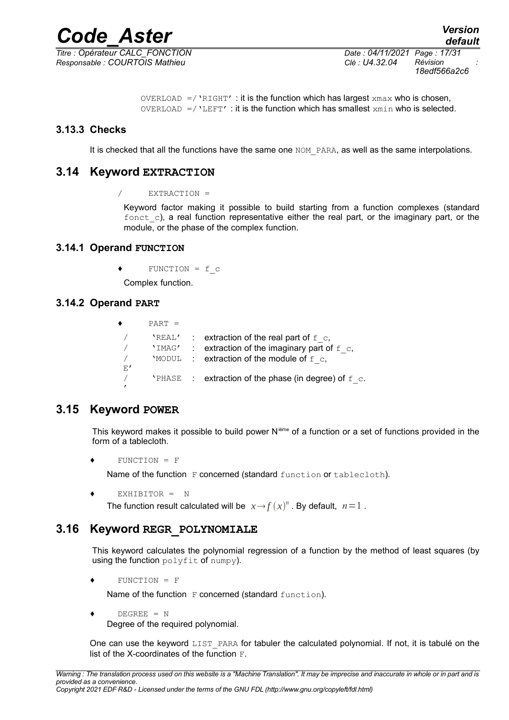*Responsable : COURTOIS Mathieu Clé : U4.32.04 Révision :*

*Titre : Opérateur CALC\_FONCTION Date : 04/11/2021 Page : 17/31 18edf566a2c6*

```
OVERLOAD =/'RIGHT' : it is the function which has largest xmax who is chosen,
OVERLOAD = / 'LEFT' : it is the function which has smallest xmin who is selected.
```
#### **3.13.3 Checks**

<span id="page-16-5"></span><span id="page-16-4"></span>It is checked that all the functions have the same one NOM\_PARA, as well as the same interpolations.

#### **3.14 Keyword EXTRACTION**

/ EXTRACTION =

Keyword factor making it possible to build starting from a function complexes (standard  $font$  c), a real function representative either the real part, or the imaginary part, or the module, or the phase of the complex function.

#### <span id="page-16-3"></span>**3.14.1 Operand FUNCTION**

 $\bullet$  FUNCTION = f c

Complex function.

#### <span id="page-16-2"></span>**3.14.2 Operand PART**

```
\bullet PART =
   \sqrt{2} 'REAL' : extraction of the real part of f_{\rm c},
   \frac{1}{2} 'IMAG' : extraction of the imaginary part of f_{\text{c}},
   \text{/} \blacksquare \blacksquare \blacksquare \blacksquare \blacksquare \blacksquare \blacksquare \blacksquare \blacksquare \blacksquare \blacksquare \blacksquare \blacksquare \blacksquare \blacksquare \blacksquare \blacksquare \blacksquare \blacksquare \blacksquare \blacksquare \blacksquare \blacksquare \blacksquare \blacksquare \blacksquare \blacksquare \blacksquare \blacksquare \blacksquare \blacksE'
   \gamma . The PHASE of extraction of the phase (in degree) of f_{\rm c}.
   '
```
#### **3.15 Keyword POWER**

<span id="page-16-1"></span>This keyword makes it possible to build power  $N<sup>ieme</sup>$  of a function or a set of functions provided in the form of a tablecloth.

 $FUNCTION = F$ 

Name of the function F concerned (standard function or tablecloth).

```
♦ EXHIBITOR = N
```
The function result calculated will be  $x \rightarrow f(x)^n$  . By default,  $n=1$  .

#### **3.16 Keyword REGR\_POLYNOMIALE**

<span id="page-16-0"></span>This keyword calculates the polynomial regression of a function by the method of least squares (by using the function polyfit of numpy).

♦ FUNCTION = F

Name of the function F concerned (standard function).

```
\triangleleft DEGREE = N
```
Degree of the required polynomial.

One can use the keyword LIST PARA for tabuler the calculated polynomial. If not, it is tabulé on the list of the X-coordinates of the function  $F$ .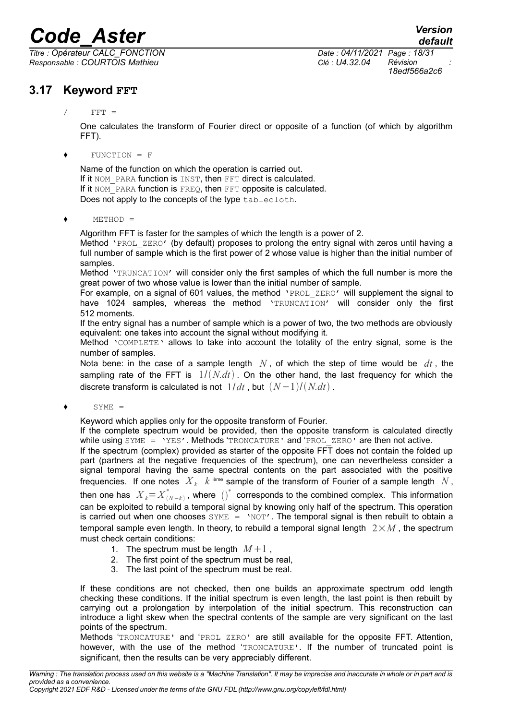*Titre : Opérateur CALC\_FONCTION Date : 04/11/2021 Page : 18/31 Responsable : COURTOIS Mathieu Clé : U4.32.04 Révision :*

### *default 18edf566a2c6*

#### <span id="page-17-0"></span>**3.17 Keyword FFT**

One calculates the transform of Fourier direct or opposite of a function (of which by algorithm FFT).

#### ♦ FUNCTION = F

Name of the function on which the operation is carried out. If it NOM PARA function is INST, then FFT direct is calculated. If it NOM PARA function is FREQ, then FFT opposite is calculated. Does not apply to the concepts of the type tablecloth.

 $\triangleleft$  METHOD =

Algorithm FFT is faster for the samples of which the length is a power of 2.

Method 'PROL ZERO' (by default) proposes to prolong the entry signal with zeros until having a full number of sample which is the first power of 2 whose value is higher than the initial number of samples.

Method 'TRUNCATION' will consider only the first samples of which the full number is more the great power of two whose value is lower than the initial number of sample.

For example, on a signal of 601 values, the method 'PROL ZERO' will supplement the signal to have 1024 samples, whereas the method 'TRUNCATION' will consider only the first 512 moments.

If the entry signal has a number of sample which is a power of two, the two methods are obviously equivalent: one takes into account the signal without modifying it.

Method 'COMPLETE' allows to take into account the totality of the entry signal, some is the number of samples.

Nota bene: in the case of a sample length *N* , of which the step of time would be *dt* , the sampling rate of the FFT is  $1/(N.dt)$ . On the other hand, the last frequency for which the discrete transform is calculated is not  $1/dt$ , but  $(N-1)/(N/dt)$ .

 $\bullet$  SYME =

Keyword which applies only for the opposite transform of Fourier.

If the complete spectrum would be provided, then the opposite transform is calculated directly while using SYME = 'YES'. Methods 'TRONCATURE' and 'PROL\_ZERO' are then not active.

If the spectrum (complex) provided as starter of the opposite FFT does not contain the folded up part (partners at the negative frequencies of the spectrum), one can nevertheless consider a signal temporal having the same spectral contents on the part associated with the positive frequencies. If one notes  $|X_k|/k$  <sup>ième</sup> sample of the transform of Fourier of a sample length  $|N|$ , then one has  $\|X_k\!=\!X^*_{(N-k)}$  , where  $\left(\right)^*$  corresponds to the combined complex. This information can be exploited to rebuild a temporal signal by knowing only half of the spectrum. This operation is carried out when one chooses  $\text{SYME} = \text{NOT'}$ . The temporal signal is then rebuilt to obtain a temporal sample even length. In theory, to rebuild a temporal signal length  $2\times M$ , the spectrum

- must check certain conditions: 1. The spectrum must be length  $M+1$ .
	- 2. The first point of the spectrum must be real,
	- 3. The last point of the spectrum must be real.

If these conditions are not checked, then one builds an approximate spectrum odd length checking these conditions. If the initial spectrum is even length, the last point is then rebuilt by carrying out a prolongation by interpolation of the initial spectrum. This reconstruction can introduce a light skew when the spectral contents of the sample are very significant on the last points of the spectrum.

Methods 'TRONCATURE' and 'PROL\_ZERO' are still available for the opposite FFT. Attention, however, with the use of the method 'TRONCATURE'. If the number of truncated point is significant, then the results can be very appreciably different.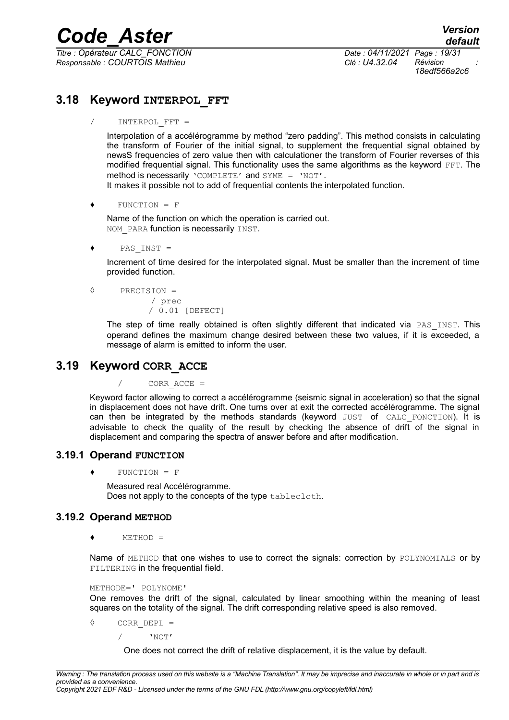*Titre : Opérateur CALC\_FONCTION Date : 04/11/2021 Page : 19/31 Responsable : COURTOIS Mathieu Clé : U4.32.04 Révision :*

*18edf566a2c6*

#### **3.18 Keyword INTERPOL\_FFT**

<span id="page-18-3"></span>/ INTERPOL\_FFT =

Interpolation of a accélérogramme by method "zero padding". This method consists in calculating the transform of Fourier of the initial signal, to supplement the frequential signal obtained by newsS frequencies of zero value then with calculationer the transform of Fourier reverses of this modified frequential signal. This functionality uses the same algorithms as the keyword FFT. The method is necessarily 'COMPLETE' and  $SYME = 'NOT'.$ 

It makes it possible not to add of frequential contents the interpolated function.

 $\bullet$  FUNCTION = F

Name of the function on which the operation is carried out. NOM PARA function is necessarily INST.

 $\bullet$  PAS INST =

Increment of time desired for the interpolated signal. Must be smaller than the increment of time provided function.

◊ PRECISION = / prec / 0.01 [DEFECT]

> The step of time really obtained is often slightly different that indicated via PAS INST. This operand defines the maximum change desired between these two values, if it is exceeded, a message of alarm is emitted to inform the user.

#### <span id="page-18-2"></span>**3.19 Keyword CORR\_ACCE**

 $CORR$   $ACCE$  =

Keyword factor allowing to correct a accélérogramme (seismic signal in acceleration) so that the signal in displacement does not have drift. One turns over at exit the corrected accélérogramme. The signal can then be integrated by the methods standards (keyword JUST of CALC FONCTION). It is advisable to check the quality of the result by checking the absence of drift of the signal in displacement and comparing the spectra of answer before and after modification.

#### **3.19.1 Operand FUNCTION**

<span id="page-18-1"></span> $FUNCTION = F$ 

Measured real Accélérogramme. Does not apply to the concepts of the type tablecloth.

#### **3.19.2 Operand METHOD**

<span id="page-18-0"></span> $METHOD =$ 

Name of METHOD that one wishes to use to correct the signals: correction by POLYNOMIALS or by FILTERING in the frequential field.

#### METHODE=' POLYNOME'

One removes the drift of the signal, calculated by linear smoothing within the meaning of least squares on the totality of the signal. The drift corresponding relative speed is also removed.

◊ CORR\_DEPL =

/ 'NOT'

One does not correct the drift of relative displacement, it is the value by default.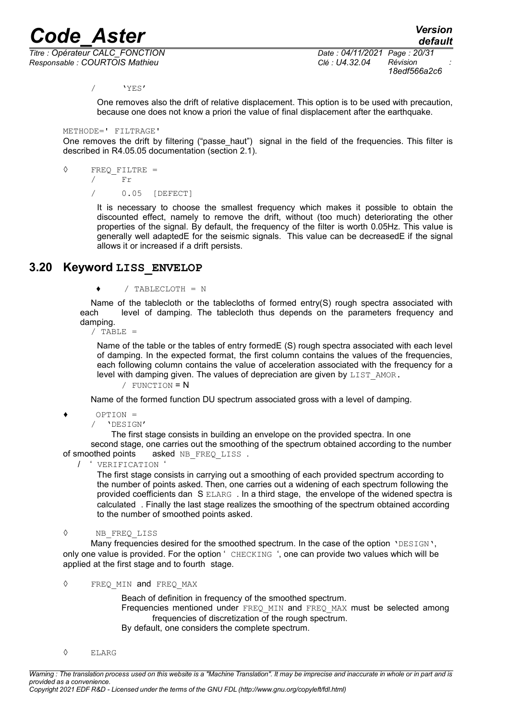*Titre : Opérateur CALC\_FONCTION Date : 04/11/2021 Page : 20/31 Responsable : COURTOIS Mathieu Clé : U4.32.04 Révision :*

*default 18edf566a2c6*

/ 'YES'

One removes also the drift of relative displacement. This option is to be used with precaution, because one does not know a priori the value of final displacement after the earthquake.

```
METHODE=' FILTRAGE'
```
One removes the drift by filtering ("passe haut") signal in the field of the frequencies. This filter is described in R4.05.05 documentation (section 2.1).

```
◊ FREQ_FILTRE =
```
/ Fr

/ 0.05 [DEFECT]

It is necessary to choose the smallest frequency which makes it possible to obtain the discounted effect, namely to remove the drift, without (too much) deteriorating the other properties of the signal. By default, the frequency of the filter is worth 0.05Hz. This value is generally well adaptedE for the seismic signals. This value can be decreasedE if the signal allows it or increased if a drift persists.

#### <span id="page-19-0"></span>**3.20 Keyword LISS\_ENVELOP**

♦ / TABLECLOTH = N

Name of the tablecloth or the tablecloths of formed entry(S) rough spectra associated with each level of damping. The tablecloth thus depends on the parameters frequency and damping.

 $/$  TABLE =

Name of the table or the tables of entry formedE (S) rough spectra associated with each level of damping. In the expected format, the first column contains the values of the frequencies, each following column contains the value of acceleration associated with the frequency for a level with damping given. The values of depreciation are given by LIST\_AMOR.

 $/$  FUNCTION =  $N$ 

Name of the formed function DU spectrum associated gross with a level of damping.

 $OPTION =$ 

/ 'DESIGN'

 The first stage consists in building an envelope on the provided spectra. In one second stage, one carries out the smoothing of the spectrum obtained according to the number of smoothed points asked NB\_FREQ\_LISS .

/ ' VERIFICATION '

The first stage consists in carrying out a smoothing of each provided spectrum according to the number of points asked. Then, one carries out a widening of each spectrum following the provided coefficients dan S ELARG . In a third stage, the envelope of the widened spectra is calculated . Finally the last stage realizes the smoothing of the spectrum obtained according to the number of smoothed points asked.

◊ NB\_FREQ\_LISS

Many frequencies desired for the smoothed spectrum. In the case of the option 'DESIGN', only one value is provided. For the option ' CHECKING ', one can provide two values which will be applied at the first stage and to fourth stage.

◊ FREQ\_MIN and FREQ\_MAX

Beach of definition in frequency of the smoothed spectrum. Frequencies mentioned under FREQ MIN and FREQ MAX must be selected among frequencies of discretization of the rough spectrum. By default, one considers the complete spectrum.

◊ ELARG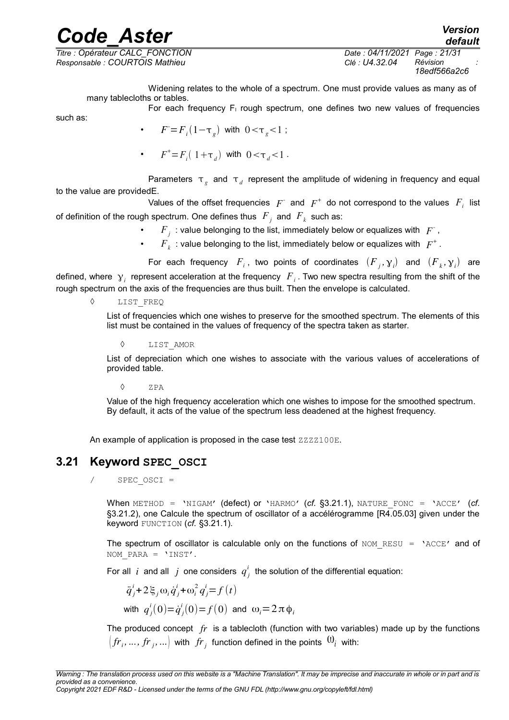*Responsable : COURTOIS Mathieu Clé : U4.32.04 Révision :*

*Titre : Opérateur CALC\_FONCTION Date : 04/11/2021 Page : 21/31 18edf566a2c6*

*default*

Widening relates to the whole of a spectrum. One must provide values as many as of many tablecloths or tables.

For each frequency  $F_1$  rough spectrum, one defines two new values of frequencies

such as:

- $F = F_i(1-\tau_g)$  with  $0 < \tau_g < 1$ ;
- $F^+ = F_i(1 + \tau_d)$  with  $0 < \tau_d < 1$ .

Parameters  $\tau_g$  and  $\tau_d$  represent the amplitude of widening in frequency and equal to the value are providedE.

Values of the offset frequencies  $|F|$  and  $|F|$ <sup>+</sup> do not correspond to the values  $|F|$  list of definition of the rough spectrum. One defines thus  $\overline{F}_j$  and  $\overline{F}_k$  such as:

- $F_j$ : value belonging to the list, immediately below or equalizes with  $|F_j\rangle$ ,
- $F_k$ : value belonging to the list, immediately below or equalizes with  $|F^+|$ .

For each frequency  $F_i$ , two points of coordinates  $(F_j, \gamma_i)$  and  $(F_k, \gamma_i)$  are defined, where  $\gamma_i$  represent acceleration at the frequency  $|F_i|$ . Two new spectra resulting from the shift of the rough spectrum on the axis of the frequencies are thus built. Then the envelope is calculated.

◊ LIST\_FREQ

List of frequencies which one wishes to preserve for the smoothed spectrum. The elements of this list must be contained in the values of frequency of the spectra taken as starter.

**LIST AMOR** 

List of depreciation which one wishes to associate with the various values of accelerations of provided table.

◊ ZPA

Value of the high frequency acceleration which one wishes to impose for the smoothed spectrum. By default, it acts of the value of the spectrum less deadened at the highest frequency.

An example of application is proposed in the case test ZZZZ100E.

#### **3.21 Keyword SPEC\_OSCI**

<span id="page-20-0"></span> $SPEC$  OSCI =

When METHOD = 'NIGAM' (defect) or 'HARMO' (*cf.* [§3.21.1\)](#page-21-1), NATURE\_FONC = 'ACCE' (*cf.* [§3.21.2\)](#page-21-0), one Calcule the spectrum of oscillator of a accélérogramme [R4.05.03] given under the keyword FUNCTION (*cf.* [§3.21.1\)](#page-21-1).

The spectrum of oscillator is calculable only on the functions of  $NOM$  RESU = 'ACCE' and of NOM\_PARA = 'INST'.

For all  $i$  and all  $j$  one considers  $q^i_j$  the solution of the differential equation:

$$
\ddot{q}_j^i + 2\xi_j \omega_i \dot{q}_j^i + \omega_i^2 q_j^i = f(t)
$$
  
with  $q_j^i(0) = \dot{q}_j^i(0) = f(0)$  and  $\omega_i = 2\pi \phi_i$ 

The produced concept *fr* is a tablecloth (function with two variables) made up by the functions  $\left( {{f્cal F}_i},...,{f{\cal F}_j},... \right)$  with  $\left. {{{\hat {\cal F}}{\cal F}_j}} \right.$  function defined in the points  $\left. {{{\bf{\Omega }}_i}} \right\rangle$  with: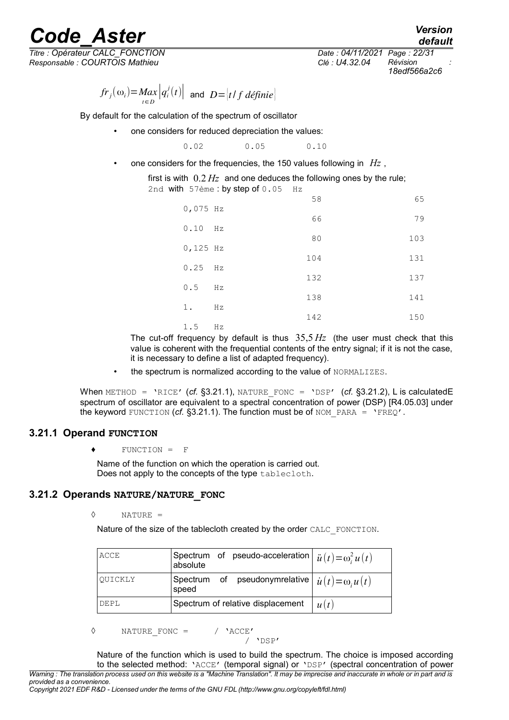*Responsable : COURTOIS Mathieu Clé : U4.32.04 Révision :*

*Titre : Opérateur CALC\_FONCTION Date : 04/11/2021 Page : 22/31 18edf566a2c6*

*default*

 $f_r(\omega_i) = Max$  $\frac{d}{dt} \left| q_i^j(t) \right|$  and  $D = \left| t / f \right| \overline{t}$ 

By default for the calculation of the spectrum of oscillator

one considers for reduced depreciation the values:

0.02 0.05 0.10

• one considers for the frequencies, the 150 values following in *Hz* ,

first is with 0.2 *Hz* and one deduces the following ones by the rule; 2nd with  $57$ ème : by step of  $0.05$  Hz

|            |    | 58  | 65  |
|------------|----|-----|-----|
| $0,075$ Hz |    |     |     |
| 0.10       | Hz | 66  | 79  |
|            |    | 80  | 103 |
| $0,125$ Hz |    |     |     |
| $0.25$ Hz  |    | 104 | 131 |
|            |    | 132 | 137 |
| 0.5        | Hz | 138 | 141 |
| $1$ .      | Hz |     |     |
|            |    | 142 | 150 |
| $15$ Hz    |    |     |     |

The cut-off frequency by default is thus 35,5 *Hz* (the user must check that this value is coherent with the frequential contents of the entry signal; if it is not the case, it is necessary to define a list of adapted frequency).

• the spectrum is normalized according to the value of NORMALIZES.

When METHOD = 'RICE' (cf. [§3.21.1\)](#page-21-1), NATURE FONC = 'DSP' (cf. [§3.21.2\)](#page-21-0), L is calculatedE spectrum of oscillator are equivalent to a spectral concentration of power (DSP) [R4.05.03] under the keyword FUNCTION ( $cf.$  [§3.21.1\)](#page-21-1). The function must be of NOM PARA =  $\text{YFREQ}'.$ 

#### **3.21.1 Operand FUNCTION**

<span id="page-21-1"></span>♦ FUNCTION = F

Name of the function on which the operation is carried out. Does not apply to the concepts of the type tablecloth.

#### <span id="page-21-0"></span>**3.21.2 Operands NATURE/NATURE\_FONC**

$$
\Diamond\qquad\qquad\mathtt{NATURE}\ =
$$

Nature of the size of the tablecloth created by the order CALC\_FONCTION.

| ACCE    | absolute | Spectrum of pseudo-acceleration $\int \ddot{u}(t) = \omega_i^2 u(t)$ |      |
|---------|----------|----------------------------------------------------------------------|------|
| OUICKLY |          | Spectrum of pseudonymrelative $\int u(t) = \omega_i u(t)$<br>speed   |      |
| DEPL    |          | Spectrum of relative displacement                                    | u(t) |

◊ NATURE\_FONC = / 'ACCE'

$$
/\text{ 'DSP'}
$$

Nature of the function which is used to build the spectrum. The choice is imposed according to the selected method: 'ACCE' (temporal signal) or 'DSP' (spectral concentration of power *Warning : The translation process used on this website is a "Machine Translation". It may be imprecise and inaccurate in whole or in part and is*

*provided as a convenience.*

*Copyright 2021 EDF R&D - Licensed under the terms of the GNU FDL (http://www.gnu.org/copyleft/fdl.html)*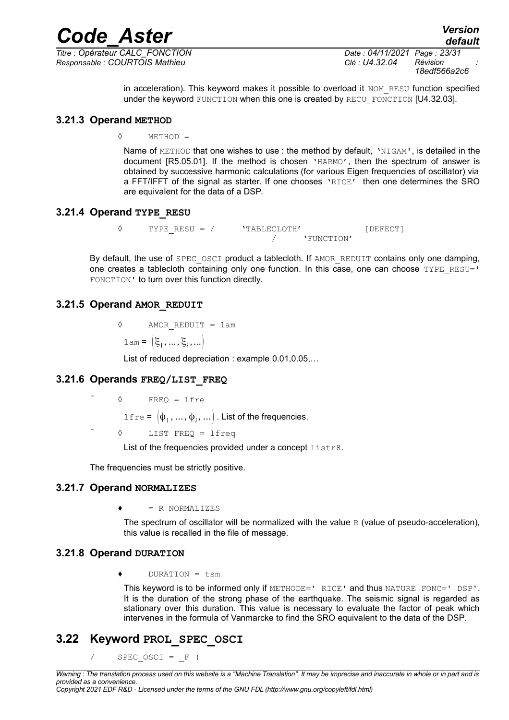*Titre : Opérateur CALC\_FONCTION Date : 04/11/2021 Page : 23/31 Responsable : COURTOIS Mathieu Clé : U4.32.04 Révision :*

*Code\_Aster Version default 18edf566a2c6*

> in acceleration). This keyword makes it possible to overload it NOM\_RESU function specified under the keyword FUNCTION when this one is created by RECU\_FONCTION [U4.32.03].

#### **3.21.3 Operand METHOD**

<span id="page-22-6"></span>◊ METHOD =

Name of METHOD that one wishes to use : the method by default, 'NIGAM', is detailed in the document [R5.05.01]. If the method is chosen 'HARMO', then the spectrum of answer is obtained by successive harmonic calculations (for various Eigen frequencies of oscillator) via a FFT/IFFT of the signal as starter. If one chooses 'RICE' then one determines the SRO are equivalent for the data of a DSP.

#### **3.21.4 Operand TYPE\_RESU**

<span id="page-22-5"></span>◊ TYPE\_RESU = / 'TABLECLOTH' [DEFECT] / 'FUNCTION'

By default, the use of SPEC OSCI product a tablecloth. If AMOR REDUIT contains only one damping, one creates a tablecloth containing only one function. In this case, one can choose TYPE\_RESU=' FONCTION' to turn over this function directly.

#### <span id="page-22-4"></span>**3.21.5 Operand AMOR\_REDUIT**

◊ AMOR\_REDUIT = lam

 $lam = [\xi_1, ..., \xi_i, ...\]$ 

List of reduced depreciation : example 0.01,0.05,…

#### **3.21.6 Operands FREQ/LIST\_FREQ**

<span id="page-22-3"></span> ◊ FREQ = lfre  $\texttt{lfre} = [\phi_1, ..., \phi_i, ...]$  . List of the frequencies. LIST FREQ =  $l$ freq

List of the frequencies provided under a concept listr8.

<span id="page-22-2"></span>The frequencies must be strictly positive.

#### **3.21.7 Operand NORMALIZES**

 $= R$  NORMALIZES

The spectrum of oscillator will be normalized with the value  $R$  (value of pseudo-acceleration), this value is recalled in the file of message.

#### <span id="page-22-1"></span>**3.21.8 Operand DURATION**

 $DURATION = tsm$ 

This keyword is to be informed only if METHODE=' RICE' and thus NATURE\_FONC=' DSP'. It is the duration of the strong phase of the earthquake. The seismic signal is regarded as stationary over this duration. This value is necessary to evaluate the factor of peak which intervenes in the formula of Vanmarcke to find the SRO equivalent to the data of the DSP.

#### **3.22 Keyword PROL\_SPEC\_OSCI**

<span id="page-22-0"></span>SPEC OSCI =  $F$  (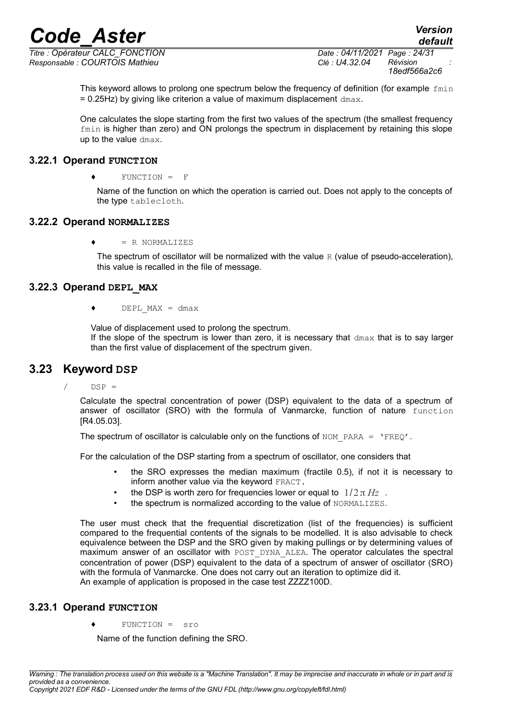*Titre : Opérateur CALC\_FONCTION Date : 04/11/2021 Page : 24/31 Responsable : COURTOIS Mathieu Clé : U4.32.04 Révision :*

*18edf566a2c6*

This keyword allows to prolong one spectrum below the frequency of definition (for example  $fmin$  $= 0.25$ Hz) by giving like criterion a value of maximum displacement  $d_{\text{max}}$ .

One calculates the slope starting from the first two values of the spectrum (the smallest frequency fmin is higher than zero) and ON prolongs the spectrum in displacement by retaining this slope up to the value dmax.

#### **3.22.1 Operand FUNCTION**

<span id="page-23-4"></span> $\bullet$  FUNCTION = F

Name of the function on which the operation is carried out. Does not apply to the concepts of the type tablecloth.

#### <span id="page-23-3"></span>**3.22.2 Operand NORMALIZES**

 $= R$  NORMALIZES

The spectrum of oscillator will be normalized with the value  $R$  (value of pseudo-acceleration), this value is recalled in the file of message.

#### <span id="page-23-2"></span>**3.22.3 Operand DEPL\_MAX**

 $\bullet$  DEPL MAX = dmax

Value of displacement used to prolong the spectrum. If the slope of the spectrum is lower than zero, it is necessary that  $dmax$  that is to say larger than the first value of displacement of the spectrum given.

#### **3.23 Keyword DSP**

<span id="page-23-1"></span> $/$  DSP =

Calculate the spectral concentration of power (DSP) equivalent to the data of a spectrum of answer of oscillator (SRO) with the formula of Vanmarcke, function of nature function [R4.05.03].

The spectrum of oscillator is calculable only on the functions of NOM\_PARA =  $'$ FREQ'.

For the calculation of the DSP starting from a spectrum of oscillator, one considers that

- the SRO expresses the median maximum (fractile 0.5), if not it is necessary to inform another value via the keyword FRACT.
- the DSP is worth zero for frequencies lower or equal to  $1/2\pi Hz$ .
- the spectrum is normalized according to the value of NORMALIZES.

The user must check that the frequential discretization (list of the frequencies) is sufficient compared to the frequential contents of the signals to be modelled. It is also advisable to check equivalence between the DSP and the SRO given by making pullings or by determining values of maximum answer of an oscillator with POST\_DYNA\_ALEA. The operator calculates the spectral concentration of power (DSP) equivalent to the data of a spectrum of answer of oscillator (SRO) with the formula of Vanmarcke. One does not carry out an iteration to optimize did it. An example of application is proposed in the case test ZZZZ100D.

#### <span id="page-23-0"></span>**3.23.1 Operand FUNCTION**

 $FUNCTION =$  sro

Name of the function defining the SRO.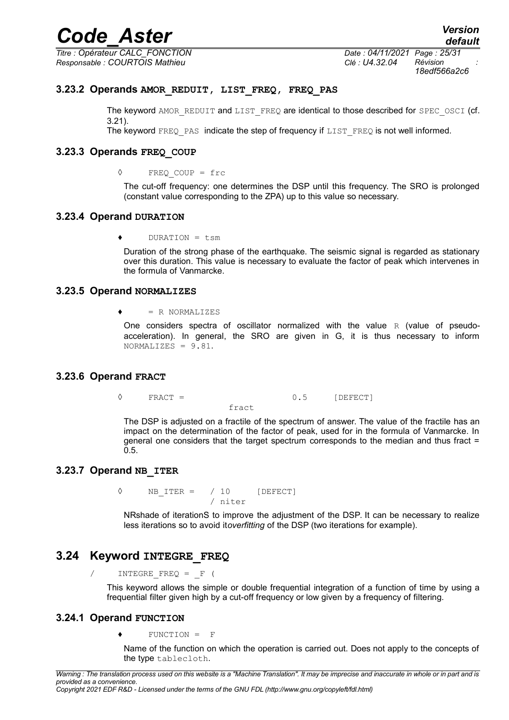*Titre : Opérateur CALC\_FONCTION Date : 04/11/2021 Page : 25/31 Responsable : COURTOIS Mathieu Clé : U4.32.04 Révision :*

*18edf566a2c6*

#### **3.23.2 Operands AMOR\_REDUIT, LIST\_FREQ, FREQ\_PAS**

<span id="page-24-7"></span>The keyword AMOR\_REDUIT and LIST\_FREQ are identical to those described for SPEC\_OSCI (cf. [3.21\)](#page-20-0).

<span id="page-24-6"></span>The keyword  $FREQ$  PAS indicate the step of frequency if  $LIST$   $FREQ$  is not well informed.

#### **3.23.3 Operands FREQ\_COUP**

◊ FREQ\_COUP = frc

The cut-off frequency: one determines the DSP until this frequency. The SRO is prolonged (constant value corresponding to the ZPA) up to this value so necessary.

#### <span id="page-24-5"></span>**3.23.4 Operand DURATION**

♦ DURATION = tsm

Duration of the strong phase of the earthquake. The seismic signal is regarded as stationary over this duration. This value is necessary to evaluate the factor of peak which intervenes in the formula of Vanmarcke.

#### <span id="page-24-4"></span>**3.23.5 Operand NORMALIZES**

 $\bullet$  = R NORMALIZES

One considers spectra of oscillator normalized with the value  $R$  (value of pseudoacceleration). In general, the SRO are given in G, it is thus necessary to inform NORMALIZES = 9.81.

#### <span id="page-24-3"></span>**3.23.6 Operand FRACT**

 $\Diamond$  FRACT = 0.5 [DEFECT]

fract

The DSP is adjusted on a fractile of the spectrum of answer. The value of the fractile has an impact on the determination of the factor of peak, used for in the formula of Vanmarcke. In general one considers that the target spectrum corresponds to the median and thus fract = 0.5.

#### <span id="page-24-2"></span>**3.23.7 Operand NB\_ITER**

 $\Diamond$  NB ITER = / 10 [DEFECT] / niter

NRshade of iterationS to improve the adjustment of the DSP. It can be necessary to realize less iterations so to avoid it*overfitting* of the DSP (two iterations for example).

#### **3.24 Keyword INTEGRE\_FREQ**

<span id="page-24-1"></span>/ INTEGRE\_FREQ = \_F (

<span id="page-24-0"></span>This keyword allows the simple or double frequential integration of a function of time by using a frequential filter given high by a cut-off frequency or low given by a frequency of filtering.

#### **3.24.1 Operand FUNCTION**

 $\bullet$  FUNCTION = F

Name of the function on which the operation is carried out. Does not apply to the concepts of the type tablecloth.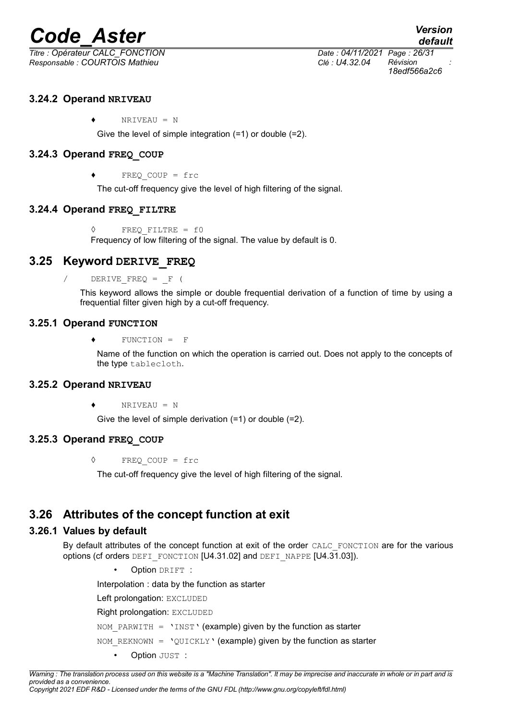*Titre : Opérateur CALC\_FONCTION Date : 04/11/2021 Page : 26/31 Responsable : COURTOIS Mathieu Clé : U4.32.04 Révision :*

*18edf566a2c6*

#### <span id="page-25-8"></span>**3.24.2 Operand NRIVEAU**

 $\bullet$  NRIVEAU = N

Give the level of simple integration (=1) or double (=2).

#### <span id="page-25-7"></span>**3.24.3 Operand FREQ\_COUP**

 $FREOCOUP = frc$ 

The cut-off frequency give the level of high filtering of the signal.

#### **3.24.4 Operand FREQ\_FILTRE**

<span id="page-25-6"></span>◊ FREQ\_FILTRE = f0 Frequency of low filtering of the signal. The value by default is 0.

#### **3.25 Keyword DERIVE\_FREQ**

<span id="page-25-5"></span>DERIVE  $FREQ = F$  (

<span id="page-25-4"></span>This keyword allows the simple or double frequential derivation of a function of time by using a frequential filter given high by a cut-off frequency.

#### **3.25.1 Operand FUNCTION**

♦ FUNCTION = F

Name of the function on which the operation is carried out. Does not apply to the concepts of the type tablecloth.

#### <span id="page-25-3"></span>**3.25.2 Operand NRIVEAU**

 $NRIVEAU = N$ 

Give the level of simple derivation (=1) or double (=2).

#### <span id="page-25-2"></span>**3.25.3 Operand FREQ\_COUP**

◊ FREQ\_COUP = frc

The cut-off frequency give the level of high filtering of the signal.

#### **3.26 Attributes of the concept function at exit**

#### **3.26.1 Values by default**

<span id="page-25-1"></span><span id="page-25-0"></span>By default attributes of the concept function at exit of the order CALC\_FONCTION are for the various options (cf orders DEFI\_FONCTION [U4.31.02] and DEFI\_NAPPE [U4.31.03]).

Option DRIFT :

Interpolation : data by the function as starter

Left prolongation: EXCLUDED

Right prolongation: EXCLUDED

NOM PARWITH = 'INST' (example) given by the function as starter

NOM\_REKNOWN =  $'QUICKLY'$  (example) given by the function as starter

**Option JUST :**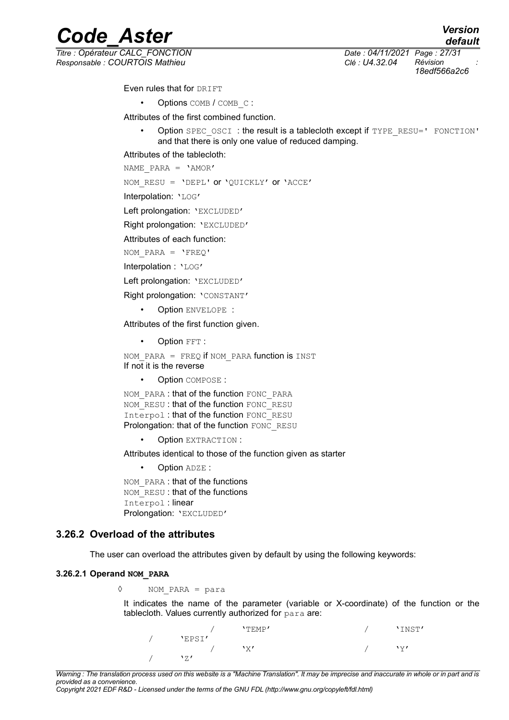*default*

# *Code\_Aster*<br>*Code\_Aster Version*<br>*Conferateur CALC FONCTION*

*Titre : Opérateur CALC\_FONCTION Date : 04/11/2021 Page : 27/31 Responsable : COURTOIS Mathieu Clé : U4.32.04 Révision :*

*18edf566a2c6*

Even rules that for DRIFT

• Options COMB / COMB C:

Attributes of the first combined function.

Option SPEC\_OSCI : the result is a tablecloth except if TYPE\_RESU=' FONCTION' and that there is only one value of reduced damping.

Attributes of the tablecloth:

NAME\_PARA = 'AMOR'

NOM\_RESU = 'DEPL' or 'QUICKLY' or 'ACCE'

Interpolation: 'LOG'

Left prolongation: 'EXCLUDED'

Right prolongation: 'EXCLUDED'

Attributes of each function:

NOM PARA =  $'FREQ'$ 

Interpolation : 'LOG'

Left prolongation: 'EXCLUDED'

Right prolongation: 'CONSTANT'

• Option ENVELOPE :

Attributes of the first function given.

• Option FFT :

NOM PARA = FREQ if NOM PARA function is INST If not it is the reverse

• Option COMPOSE :

NOM\_PARA : that of the function FONC\_PARA NOM\_RESU : that of the function FONC\_RESU Interpol: that of the function FONC\_RESU Prolongation: that of the function FONC\_RESU

• Option EXTRACTION :

Attributes identical to those of the function given as starter

• Option ADZE :

NOM\_PARA : that of the functions NOM\_RESU : that of the functions Interpol : linear Prolongation: 'EXCLUDED'

#### **3.26.2 Overload of the attributes**

<span id="page-26-1"></span><span id="page-26-0"></span>The user can overload the attributes given by default by using the following keywords:

#### **3.26.2.1 Operand NOM\_PARA**

◊ NOM\_PARA = para

It indicates the name of the parameter (variable or X-coordinate) of the function or the tablecloth. Values currently authorized for para are:

|        | $'$ TEMP $'$ | 'INST' |
|--------|--------------|--------|
| 'EPSI' |              |        |
|        | 'х           | \v/    |
| 171    |              |        |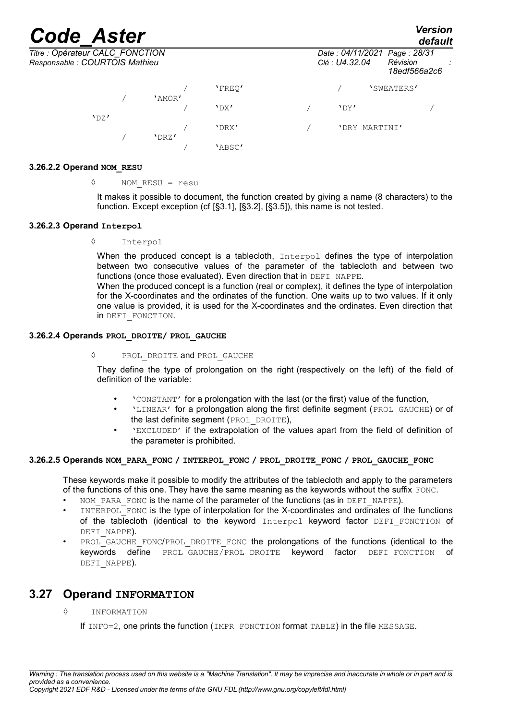*Titre : Opérateur CALC\_FONCTION Date : 04/11/2021 Page : 28/31 Responsable : COURTOIS Mathieu Clé : U4.32.04 Révision :*

'DZ'

|        |                                                | .<br>default             |  |
|--------|------------------------------------------------|--------------------------|--|
|        | Date: 04/11/2021 Page: 28/31<br>Clé : U4.32.04 | Révision<br>18edf566a2c6 |  |
| 'FREO' |                                                | 'SWEATERS'               |  |
|        |                                                |                          |  |

/ 'DX' / 'DY' /

/ 'DRX' / 'DRY MARTINI'

**3.26.2.2 Operand NOM\_RESU**

#### <span id="page-27-4"></span>◊ NOM\_RESU = resu

/ 'AMOR'

/ 'DRZ'

It makes it possible to document, the function created by giving a name (8 characters) to the function. Except exception (cf [§3.1], [§3.2], [§3.5]), this name is not tested.

/ 'ABSC'

#### **3.26.2.3 Operand Interpol**

<span id="page-27-3"></span>◊ Interpol

When the produced concept is a tablecloth,  $Interpol$  defines the type of interpolation between two consecutive values of the parameter of the tablecloth and between two functions (once those evaluated). Even direction that in DEFI\_NAPPE.

When the produced concept is a function (real or complex), it defines the type of interpolation for the X-coordinates and the ordinates of the function. One waits up to two values. If it only one value is provided, it is used for the X-coordinates and the ordinates. Even direction that in DEFI\_FONCTION.

#### **3.26.2.4 Operands PROL\_DROITE/ PROL\_GAUCHE**

#### <span id="page-27-2"></span>◊ PROL\_DROITE and PROL\_GAUCHE

They define the type of prolongation on the right (respectively on the left) of the field of definition of the variable:

- 'CONSTANT' for a prolongation with the last (or the first) value of the function,
- **'LINEAR'** for a prolongation along the first definite segment (PROL GAUCHE) or of the last definite segment (PROL DROITE).
- 'EXCLUDED' if the extrapolation of the values apart from the field of definition of the parameter is prohibited.

#### **3.26.2.5 Operands NOM\_PARA\_FONC / INTERPOL\_FONC / PROL\_DROITE\_FONC / PROL\_GAUCHE\_FONC**

<span id="page-27-1"></span>These keywords make it possible to modify the attributes of the tablecloth and apply to the parameters of the functions of this one. They have the same meaning as the keywords without the suffix FONC.

- NOM PARA FONC is the name of the parameter of the functions (as in DEFI\_NAPPE).
- INTERPOL\_FONC is the type of interpolation for the X-coordinates and ordinates of the functions of the tablecloth (identical to the keyword Interpol keyword factor DEFI FONCTION of DEFI\_NAPPE).
- PROL GAUCHE FONC/PROL DROITE FONC the prolongations of the functions (identical to the keywords define PROL\_GAUCHE/PROL\_DROITE keyword factor DEFI\_FONCTION of DEFI\_NAPPE).

#### **3.27 Operand INFORMATION**

<span id="page-27-0"></span>◊ INFORMATION

If INFO=2, one prints the function (IMPR\_FONCTION format TABLE) in the file MESSAGE.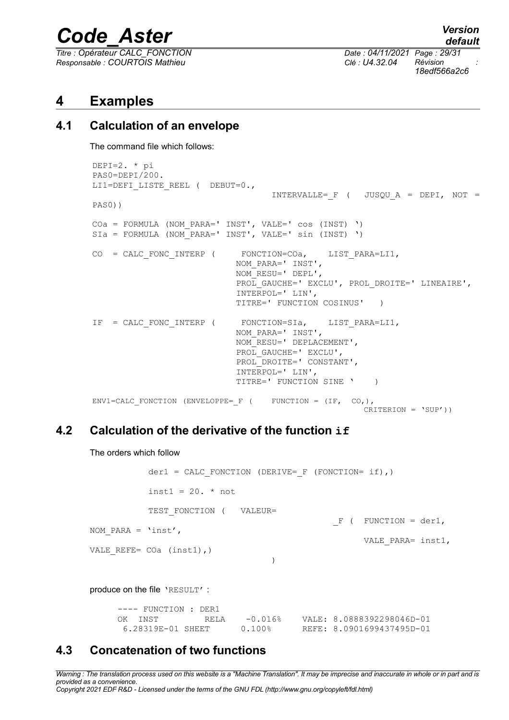*Titre : Opérateur CALC\_FONCTION Date : 04/11/2021 Page : 29/31 Responsable : COURTOIS Mathieu Clé : U4.32.04 Révision :*

*18edf566a2c6*

#### <span id="page-28-3"></span>**4 Examples**

#### **4.1 Calculation of an envelope**

<span id="page-28-2"></span>The command file which follows:

```
DEPI=2. * pi
PAS0=DEPI/200.
LI1=DEFI LISTE REEL ( DEBUT=0.,
                                   INTERVALLE= F ( JUSQU A = DEPI, NOT =
PAS0))
COa = FORMULA (NOM_PARA=' INST', VALE=' cos (INST) ')
SIa = FORMULA (NOM_PARA=' INST', VALE=' sin (INST) ')
CO = CALC FONC INTERP ( FONCTION=COa, LIST PARA=LI1,
                             NOM_PARA=' INST',
                             NOM_RESU=' DEPL',
                            PROL GAUCHE=' EXCLU', PROL DROITE=' LINEAIRE',
                             INTERPOL=' LIN', 
                             TITRE=' FUNCTION COSINUS' )
IF = CALC FONC INTERP ( FONCTION=SIa, LIST PARA=LI1,
                             NOM_PARA=' INST',
                             NOM_RESU=' DEPLACEMENT',
                            PROL GAUCHE=' EXCLU',
                             PROL_DROITE=' CONSTANT',
                             INTERPOL=' LIN', 
                             TITRE=' FUNCTION SINE ' )
ENV1=CALC_FONCTION (ENVELOPPE=_F ( FUNCTION = (IF, CO,),CRITERION = 'SUP'))
```
#### **4.2 Calculation of the derivative of the function if**

<span id="page-28-1"></span>The orders which follow

der1 = CALC FONCTION (DERIVE= F (FONCTION= if),)  $inst1 = 20. * not$ TEST FONCTION ( VALEUR=  $F$  ( FUNCTION = der1, NOM\_PARA = 'inst', VALE\_PARA= inst1, VALE REFE=  $COa$  (inst1),) ) produce on the file 'RESULT' :

---- FUNCTION : DER1 OK INST RELA -0.016% VALE: 8.0888392298046D-01 6.28319E-01 SHEET 0.100% REFE: 8.0901699437495D-01

#### <span id="page-28-0"></span>**4.3 Concatenation of two functions**

*Warning : The translation process used on this website is a "Machine Translation". It may be imprecise and inaccurate in whole or in part and is provided as a convenience.*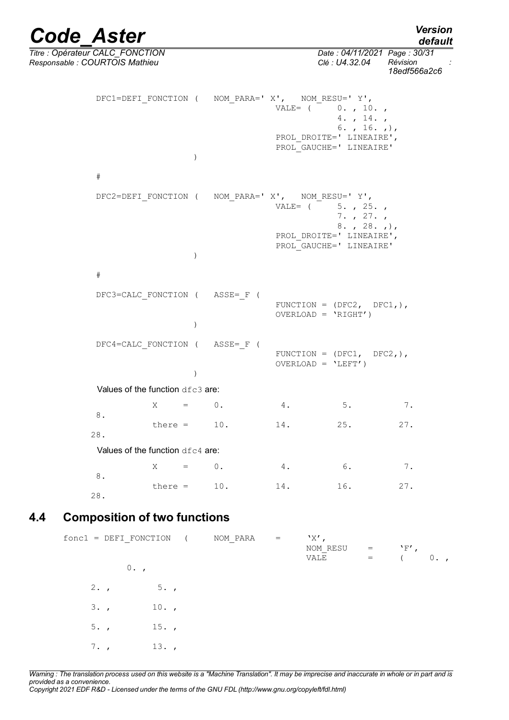*default*

*Titre : Opérateur CALC\_FONCTION Date : 04/11/2021 Page : 30/31 Responsable : COURTOIS Mathieu Clé : U4.32.04 Révision : 18edf566a2c6* DFC1=DEFI\_FONCTION ( NOM\_PARA=' X', NOM\_RESU=' Y', VALE=  $( 0. , 10. ,$ 4. , 14. , 6. , 16. ,), PROL DROITE=' LINEAIRE', PROL\_GAUCHE=' LINEAIRE' ) # DFC2=DEFI\_FONCTION ( NOM\_PARA=' X', NOM\_RESU=' Y', VALE=  $( 5. , 25. ,$ 7. , 27. , 8. , 28. ,), PROL DROITE=' LINEAIRE', PROL\_GAUCHE=' LINEAIRE' ) # DFC3=CALC\_FONCTION ( ASSE=\_F ( FUNCTION =  $(DFC2, DFC1,),$ OVERLOAD = 'RIGHT') ) DFC4=CALC\_FONCTION ( ASSE=\_F ( FUNCTION =  $(DFC1, DFC2,),$  $OVERLOAD = 'LEFT')$  ) Values of the function dfc3 are:  $X = 0.$  4. 5. 7. 8. there =  $10.$  14. 25. 27. 28. Values of the function dfc4 are:  $X = 0.$  4. 6. 7. 8. there =  $10.$  14. 16. 27. 28.

#### **4.4 Composition of two functions**

<span id="page-29-0"></span> $fonc1 = DEFI$  FONCTION ( NOM PARA = 'X', NOM\_RESU =  $\bigvee_{YALE}$  =  $($  $=$  ( 0.,  $0.$ ,  $2. , 5. ,$  $3.$ ,  $10.$ , 5. , 15. , 7. , 13. ,

*Warning : The translation process used on this website is a "Machine Translation". It may be imprecise and inaccurate in whole or in part and is provided as a convenience. Copyright 2021 EDF R&D - Licensed under the terms of the GNU FDL (http://www.gnu.org/copyleft/fdl.html)*